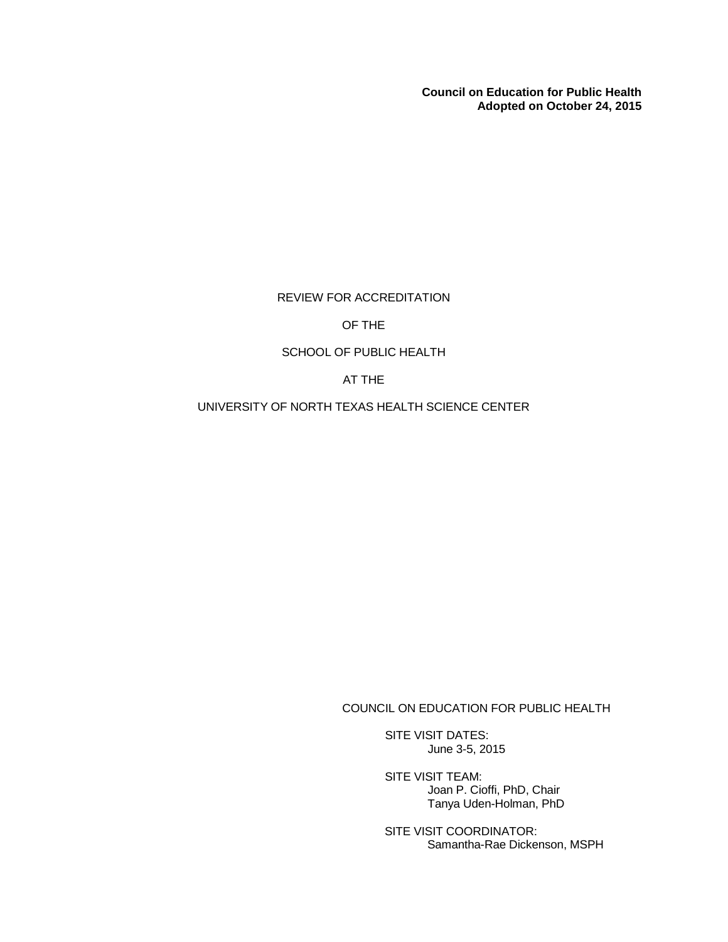**Council on Education for Public Health Adopted on October 24, 2015**

REVIEW FOR ACCREDITATION

# OF THE

# SCHOOL OF PUBLIC HEALTH

AT THE

UNIVERSITY OF NORTH TEXAS HEALTH SCIENCE CENTER

COUNCIL ON EDUCATION FOR PUBLIC HEALTH

SITE VISIT DATES: June 3-5, 2015

SITE VISIT TEAM: Joan P. Cioffi, PhD, Chair Tanya Uden-Holman, PhD

SITE VISIT COORDINATOR: Samantha-Rae Dickenson, MSPH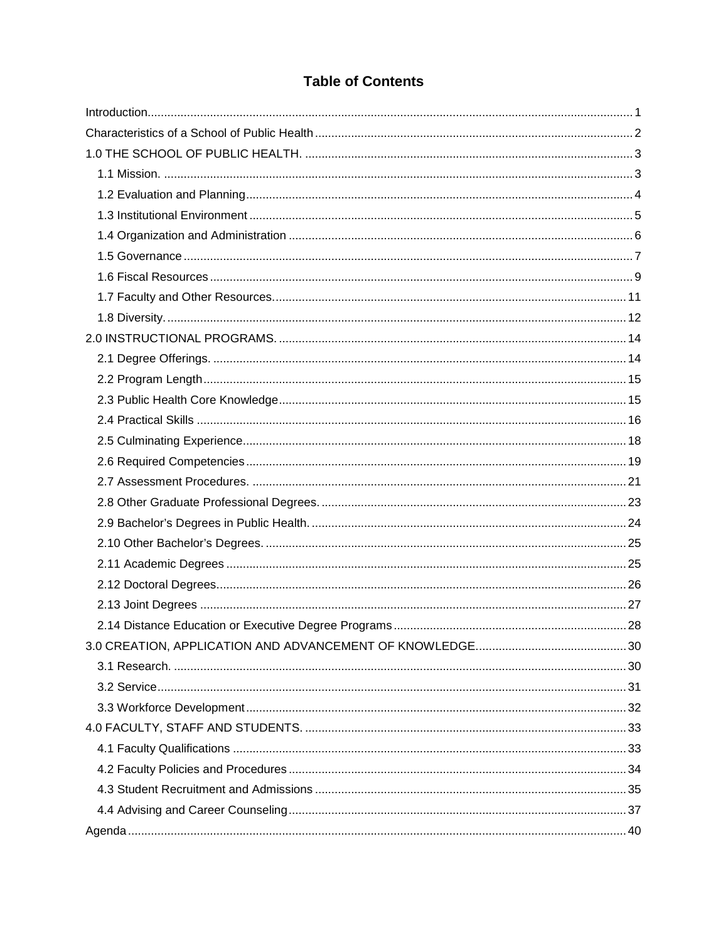# **Table of Contents**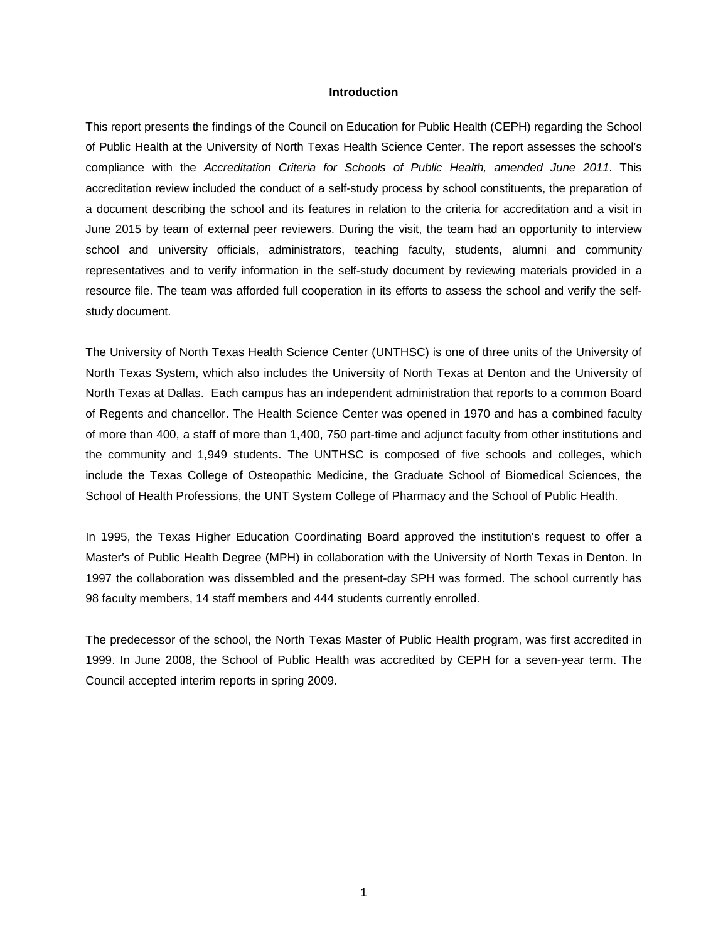#### **Introduction**

<span id="page-2-0"></span>This report presents the findings of the Council on Education for Public Health (CEPH) regarding the School of Public Health at the University of North Texas Health Science Center. The report assesses the school's compliance with the *Accreditation Criteria for Schools of Public Health, amended June 2011*. This accreditation review included the conduct of a self-study process by school constituents, the preparation of a document describing the school and its features in relation to the criteria for accreditation and a visit in June 2015 by team of external peer reviewers. During the visit, the team had an opportunity to interview school and university officials, administrators, teaching faculty, students, alumni and community representatives and to verify information in the self-study document by reviewing materials provided in a resource file. The team was afforded full cooperation in its efforts to assess the school and verify the selfstudy document.

The University of North Texas Health Science Center (UNTHSC) is one of three units of the University of North Texas System, which also includes the University of North Texas at Denton and the University of North Texas at Dallas. Each campus has an independent administration that reports to a common Board of Regents and chancellor. The Health Science Center was opened in 1970 and has a combined faculty of more than 400, a staff of more than 1,400, 750 part-time and adjunct faculty from other institutions and the community and 1,949 students. The UNTHSC is composed of five schools and colleges, which include the Texas College of Osteopathic Medicine, the Graduate School of Biomedical Sciences, the School of Health Professions, the UNT System College of Pharmacy and the School of Public Health.

In 1995, the Texas Higher Education Coordinating Board approved the institution's request to offer a Master's of Public Health Degree (MPH) in collaboration with the University of North Texas in Denton. In 1997 the collaboration was dissembled and the present-day SPH was formed. The school currently has 98 faculty members, 14 staff members and 444 students currently enrolled.

The predecessor of the school, the North Texas Master of Public Health program, was first accredited in 1999. In June 2008, the School of Public Health was accredited by CEPH for a seven-year term. The Council accepted interim reports in spring 2009.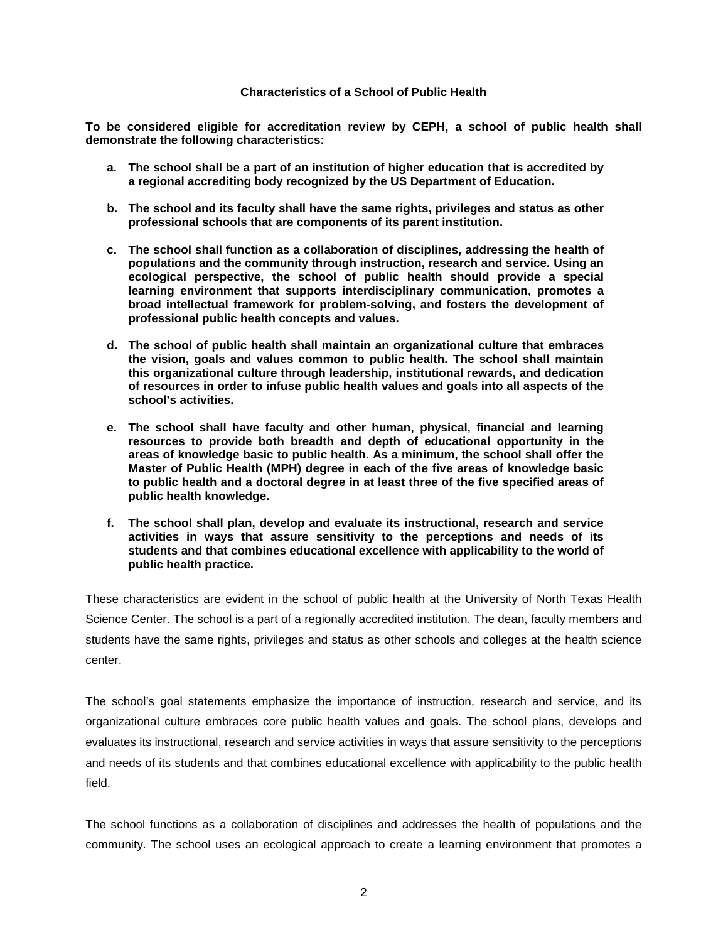#### **Characteristics of a School of Public Health**

<span id="page-3-0"></span>**To be considered eligible for accreditation review by CEPH, a school of public health shall demonstrate the following characteristics:**

- **a. The school shall be a part of an institution of higher education that is accredited by a regional accrediting body recognized by the US Department of Education.**
- **b. The school and its faculty shall have the same rights, privileges and status as other professional schools that are components of its parent institution.**
- **c. The school shall function as a collaboration of disciplines, addressing the health of populations and the community through instruction, research and service. Using an ecological perspective, the school of public health should provide a special learning environment that supports interdisciplinary communication, promotes a broad intellectual framework for problem-solving, and fosters the development of professional public health concepts and values.**
- **d. The school of public health shall maintain an organizational culture that embraces the vision, goals and values common to public health. The school shall maintain this organizational culture through leadership, institutional rewards, and dedication of resources in order to infuse public health values and goals into all aspects of the school's activities.**
- **e. The school shall have faculty and other human, physical, financial and learning resources to provide both breadth and depth of educational opportunity in the areas of knowledge basic to public health. As a minimum, the school shall offer the Master of Public Health (MPH) degree in each of the five areas of knowledge basic to public health and a doctoral degree in at least three of the five specified areas of public health knowledge.**
- **f. The school shall plan, develop and evaluate its instructional, research and service activities in ways that assure sensitivity to the perceptions and needs of its students and that combines educational excellence with applicability to the world of public health practice.**

These characteristics are evident in the school of public health at the University of North Texas Health Science Center. The school is a part of a regionally accredited institution. The dean, faculty members and students have the same rights, privileges and status as other schools and colleges at the health science center.

The school's goal statements emphasize the importance of instruction, research and service, and its organizational culture embraces core public health values and goals. The school plans, develops and evaluates its instructional, research and service activities in ways that assure sensitivity to the perceptions and needs of its students and that combines educational excellence with applicability to the public health field.

The school functions as a collaboration of disciplines and addresses the health of populations and the community. The school uses an ecological approach to create a learning environment that promotes a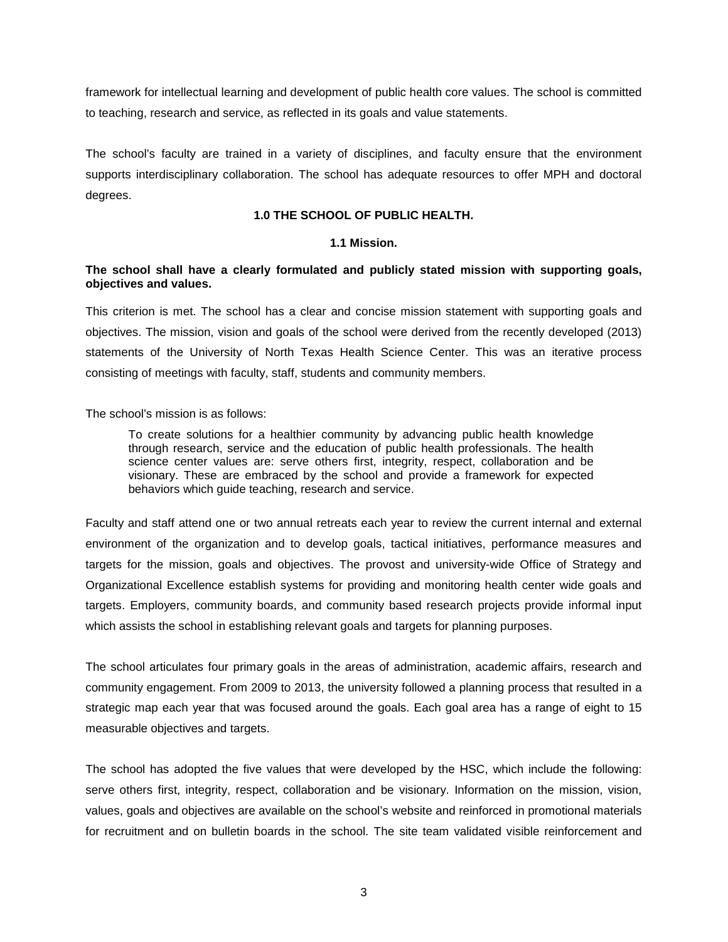framework for intellectual learning and development of public health core values. The school is committed to teaching, research and service, as reflected in its goals and value statements.

The school's faculty are trained in a variety of disciplines, and faculty ensure that the environment supports interdisciplinary collaboration. The school has adequate resources to offer MPH and doctoral degrees.

### **1.0 THE SCHOOL OF PUBLIC HEALTH.**

### **1.1 Mission.**

## <span id="page-4-1"></span><span id="page-4-0"></span>**The school shall have a clearly formulated and publicly stated mission with supporting goals, objectives and values.**

This criterion is met. The school has a clear and concise mission statement with supporting goals and objectives. The mission, vision and goals of the school were derived from the recently developed (2013) statements of the University of North Texas Health Science Center. This was an iterative process consisting of meetings with faculty, staff, students and community members.

The school's mission is as follows:

To create solutions for a healthier community by advancing public health knowledge through research, service and the education of public health professionals. The health science center values are: serve others first, integrity, respect, collaboration and be visionary. These are embraced by the school and provide a framework for expected behaviors which guide teaching, research and service.

Faculty and staff attend one or two annual retreats each year to review the current internal and external environment of the organization and to develop goals, tactical initiatives, performance measures and targets for the mission, goals and objectives. The provost and university-wide Office of Strategy and Organizational Excellence establish systems for providing and monitoring health center wide goals and targets. Employers, community boards, and community based research projects provide informal input which assists the school in establishing relevant goals and targets for planning purposes.

The school articulates four primary goals in the areas of administration, academic affairs, research and community engagement. From 2009 to 2013, the university followed a planning process that resulted in a strategic map each year that was focused around the goals. Each goal area has a range of eight to 15 measurable objectives and targets.

The school has adopted the five values that were developed by the HSC, which include the following: serve others first, integrity, respect, collaboration and be visionary. Information on the mission, vision, values, goals and objectives are available on the school's website and reinforced in promotional materials for recruitment and on bulletin boards in the school. The site team validated visible reinforcement and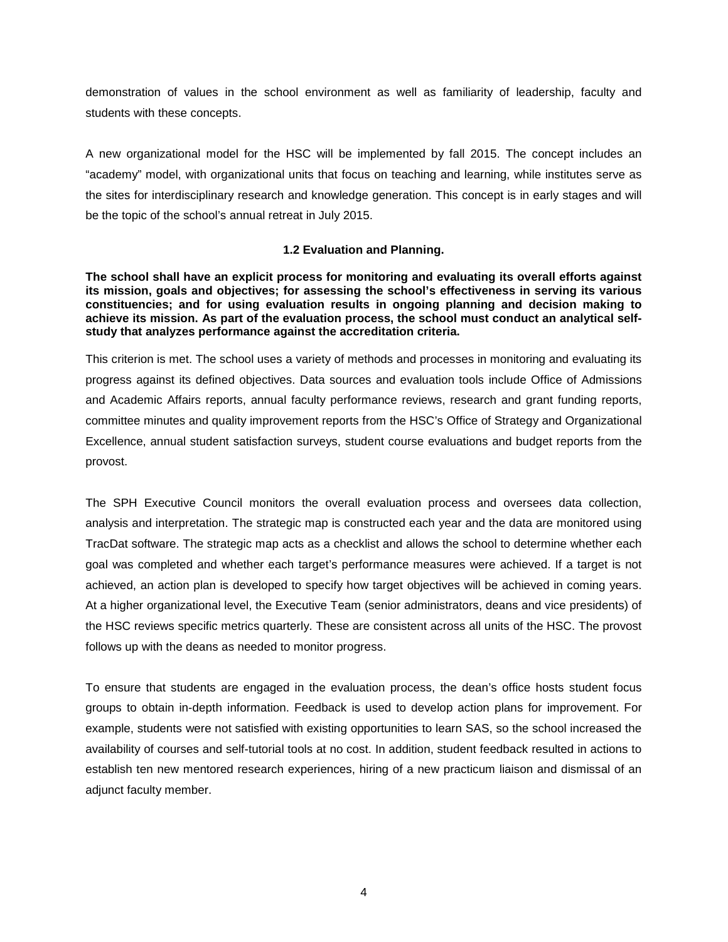demonstration of values in the school environment as well as familiarity of leadership, faculty and students with these concepts.

A new organizational model for the HSC will be implemented by fall 2015. The concept includes an "academy" model, with organizational units that focus on teaching and learning, while institutes serve as the sites for interdisciplinary research and knowledge generation. This concept is in early stages and will be the topic of the school's annual retreat in July 2015.

# **1.2 Evaluation and Planning.**

<span id="page-5-0"></span>**The school shall have an explicit process for monitoring and evaluating its overall efforts against its mission, goals and objectives; for assessing the school's effectiveness in serving its various constituencies; and for using evaluation results in ongoing planning and decision making to achieve its mission. As part of the evaluation process, the school must conduct an analytical selfstudy that analyzes performance against the accreditation criteria.**

This criterion is met. The school uses a variety of methods and processes in monitoring and evaluating its progress against its defined objectives. Data sources and evaluation tools include Office of Admissions and Academic Affairs reports, annual faculty performance reviews, research and grant funding reports, committee minutes and quality improvement reports from the HSC's Office of Strategy and Organizational Excellence, annual student satisfaction surveys, student course evaluations and budget reports from the provost.

The SPH Executive Council monitors the overall evaluation process and oversees data collection, analysis and interpretation. The strategic map is constructed each year and the data are monitored using TracDat software. The strategic map acts as a checklist and allows the school to determine whether each goal was completed and whether each target's performance measures were achieved. If a target is not achieved, an action plan is developed to specify how target objectives will be achieved in coming years. At a higher organizational level, the Executive Team (senior administrators, deans and vice presidents) of the HSC reviews specific metrics quarterly. These are consistent across all units of the HSC. The provost follows up with the deans as needed to monitor progress.

To ensure that students are engaged in the evaluation process, the dean's office hosts student focus groups to obtain in-depth information. Feedback is used to develop action plans for improvement. For example, students were not satisfied with existing opportunities to learn SAS, so the school increased the availability of courses and self-tutorial tools at no cost. In addition, student feedback resulted in actions to establish ten new mentored research experiences, hiring of a new practicum liaison and dismissal of an adjunct faculty member.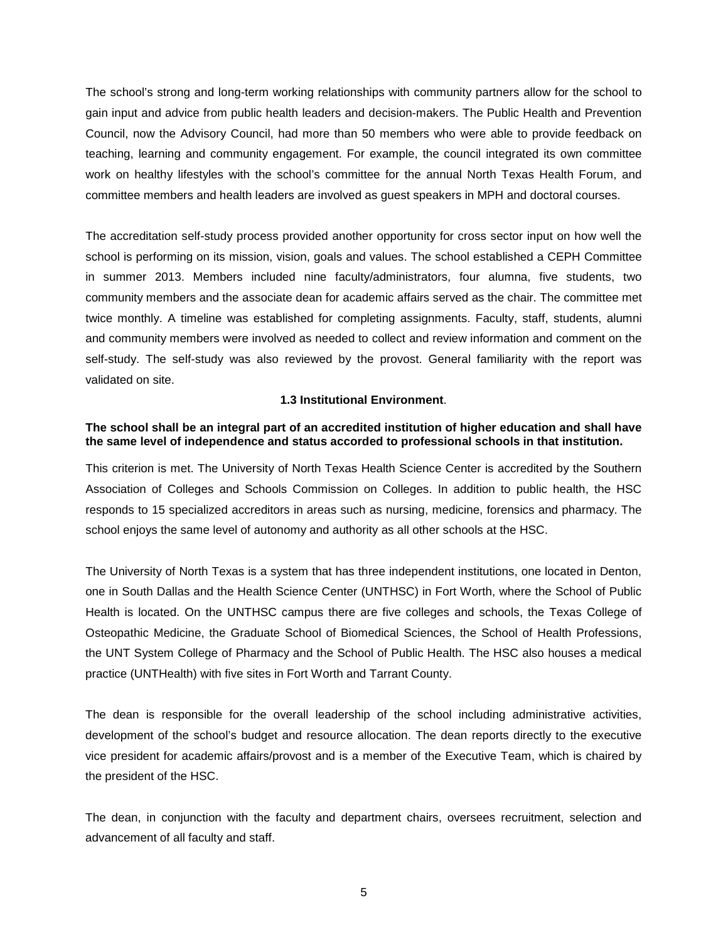The school's strong and long-term working relationships with community partners allow for the school to gain input and advice from public health leaders and decision-makers. The Public Health and Prevention Council, now the Advisory Council, had more than 50 members who were able to provide feedback on teaching, learning and community engagement. For example, the council integrated its own committee work on healthy lifestyles with the school's committee for the annual North Texas Health Forum, and committee members and health leaders are involved as guest speakers in MPH and doctoral courses.

The accreditation self-study process provided another opportunity for cross sector input on how well the school is performing on its mission, vision, goals and values. The school established a CEPH Committee in summer 2013. Members included nine faculty/administrators, four alumna, five students, two community members and the associate dean for academic affairs served as the chair. The committee met twice monthly. A timeline was established for completing assignments. Faculty, staff, students, alumni and community members were involved as needed to collect and review information and comment on the self-study. The self-study was also reviewed by the provost. General familiarity with the report was validated on site.

### **1.3 Institutional Environment**.

### <span id="page-6-0"></span>**The school shall be an integral part of an accredited institution of higher education and shall have the same level of independence and status accorded to professional schools in that institution.**

This criterion is met. The University of North Texas Health Science Center is accredited by the Southern Association of Colleges and Schools Commission on Colleges. In addition to public health, the HSC responds to 15 specialized accreditors in areas such as nursing, medicine, forensics and pharmacy. The school enjoys the same level of autonomy and authority as all other schools at the HSC.

The University of North Texas is a system that has three independent institutions, one located in Denton, one in South Dallas and the Health Science Center (UNTHSC) in Fort Worth, where the School of Public Health is located. On the UNTHSC campus there are five colleges and schools, the Texas College of Osteopathic Medicine, the Graduate School of Biomedical Sciences, the School of Health Professions, the UNT System College of Pharmacy and the School of Public Health. The HSC also houses a medical practice (UNTHealth) with five sites in Fort Worth and Tarrant County.

The dean is responsible for the overall leadership of the school including administrative activities, development of the school's budget and resource allocation. The dean reports directly to the executive vice president for academic affairs/provost and is a member of the Executive Team, which is chaired by the president of the HSC.

The dean, in conjunction with the faculty and department chairs, oversees recruitment, selection and advancement of all faculty and staff.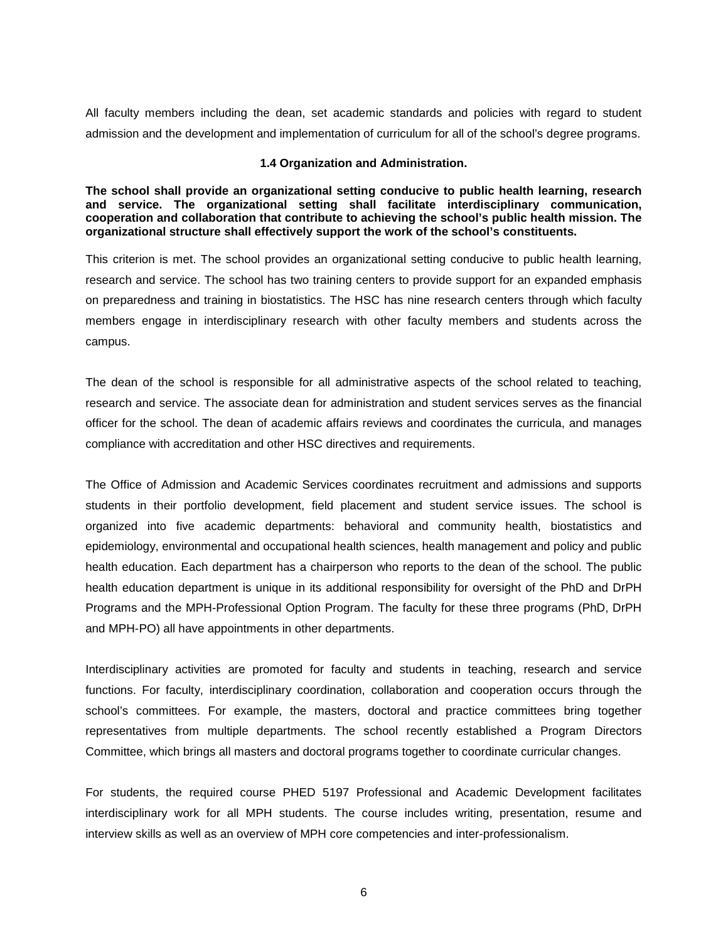All faculty members including the dean, set academic standards and policies with regard to student admission and the development and implementation of curriculum for all of the school's degree programs.

#### **1.4 Organization and Administration.**

<span id="page-7-0"></span>**The school shall provide an organizational setting conducive to public health learning, research and service. The organizational setting shall facilitate interdisciplinary communication, cooperation and collaboration that contribute to achieving the school's public health mission. The organizational structure shall effectively support the work of the school's constituents.**

This criterion is met. The school provides an organizational setting conducive to public health learning, research and service. The school has two training centers to provide support for an expanded emphasis on preparedness and training in biostatistics. The HSC has nine research centers through which faculty members engage in interdisciplinary research with other faculty members and students across the campus.

The dean of the school is responsible for all administrative aspects of the school related to teaching, research and service. The associate dean for administration and student services serves as the financial officer for the school. The dean of academic affairs reviews and coordinates the curricula, and manages compliance with accreditation and other HSC directives and requirements.

The Office of Admission and Academic Services coordinates recruitment and admissions and supports students in their portfolio development, field placement and student service issues. The school is organized into five academic departments: behavioral and community health, biostatistics and epidemiology, environmental and occupational health sciences, health management and policy and public health education. Each department has a chairperson who reports to the dean of the school. The public health education department is unique in its additional responsibility for oversight of the PhD and DrPH Programs and the MPH-Professional Option Program. The faculty for these three programs (PhD, DrPH and MPH-PO) all have appointments in other departments.

Interdisciplinary activities are promoted for faculty and students in teaching, research and service functions. For faculty, interdisciplinary coordination, collaboration and cooperation occurs through the school's committees. For example, the masters, doctoral and practice committees bring together representatives from multiple departments. The school recently established a Program Directors Committee, which brings all masters and doctoral programs together to coordinate curricular changes.

For students, the required course PHED 5197 Professional and Academic Development facilitates interdisciplinary work for all MPH students. The course includes writing, presentation, resume and interview skills as well as an overview of MPH core competencies and inter-professionalism.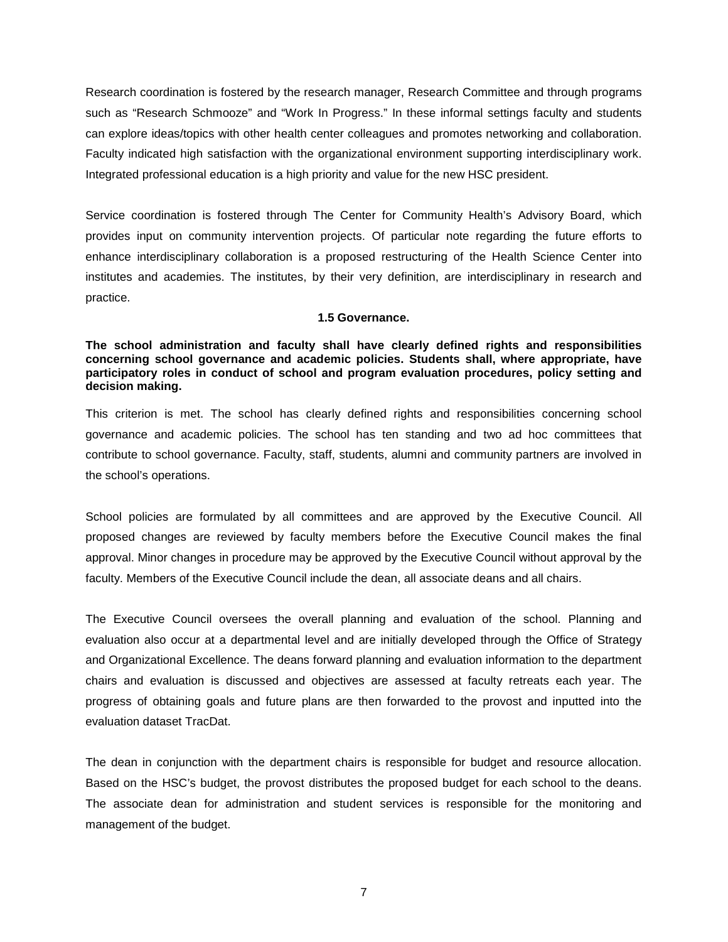Research coordination is fostered by the research manager, Research Committee and through programs such as "Research Schmooze" and "Work In Progress." In these informal settings faculty and students can explore ideas/topics with other health center colleagues and promotes networking and collaboration. Faculty indicated high satisfaction with the organizational environment supporting interdisciplinary work. Integrated professional education is a high priority and value for the new HSC president.

Service coordination is fostered through The Center for Community Health's Advisory Board, which provides input on community intervention projects. Of particular note regarding the future efforts to enhance interdisciplinary collaboration is a proposed restructuring of the Health Science Center into institutes and academies. The institutes, by their very definition, are interdisciplinary in research and practice.

#### **1.5 Governance.**

<span id="page-8-0"></span>**The school administration and faculty shall have clearly defined rights and responsibilities concerning school governance and academic policies. Students shall, where appropriate, have participatory roles in conduct of school and program evaluation procedures, policy setting and decision making.**

This criterion is met. The school has clearly defined rights and responsibilities concerning school governance and academic policies. The school has ten standing and two ad hoc committees that contribute to school governance. Faculty, staff, students, alumni and community partners are involved in the school's operations.

School policies are formulated by all committees and are approved by the Executive Council. All proposed changes are reviewed by faculty members before the Executive Council makes the final approval. Minor changes in procedure may be approved by the Executive Council without approval by the faculty. Members of the Executive Council include the dean, all associate deans and all chairs.

The Executive Council oversees the overall planning and evaluation of the school. Planning and evaluation also occur at a departmental level and are initially developed through the Office of Strategy and Organizational Excellence. The deans forward planning and evaluation information to the department chairs and evaluation is discussed and objectives are assessed at faculty retreats each year. The progress of obtaining goals and future plans are then forwarded to the provost and inputted into the evaluation dataset TracDat.

The dean in conjunction with the department chairs is responsible for budget and resource allocation. Based on the HSC's budget, the provost distributes the proposed budget for each school to the deans. The associate dean for administration and student services is responsible for the monitoring and management of the budget.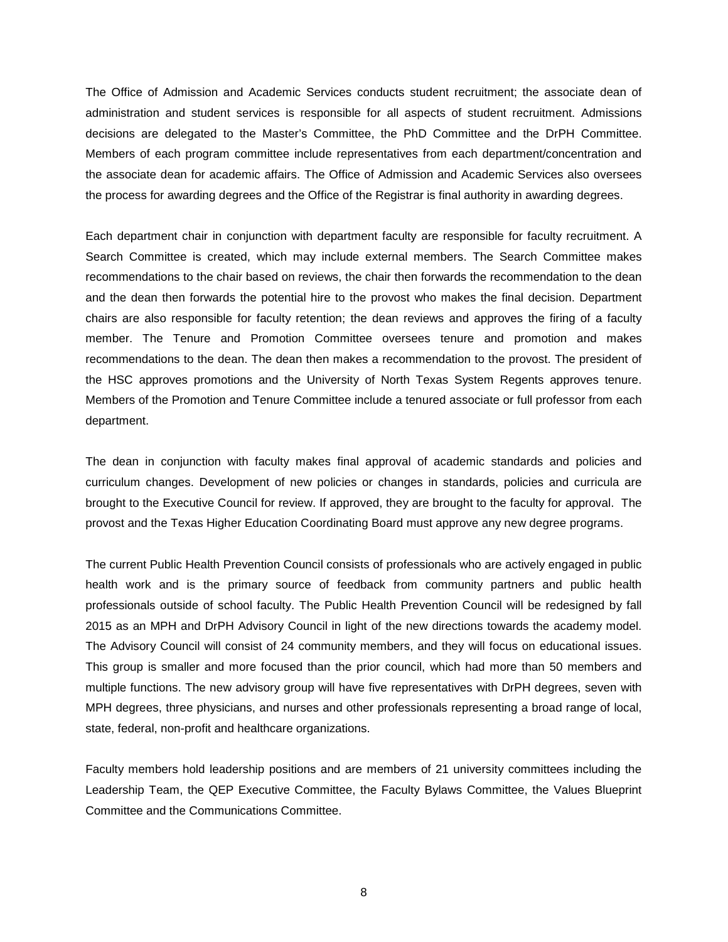The Office of Admission and Academic Services conducts student recruitment; the associate dean of administration and student services is responsible for all aspects of student recruitment. Admissions decisions are delegated to the Master's Committee, the PhD Committee and the DrPH Committee. Members of each program committee include representatives from each department/concentration and the associate dean for academic affairs. The Office of Admission and Academic Services also oversees the process for awarding degrees and the Office of the Registrar is final authority in awarding degrees.

Each department chair in conjunction with department faculty are responsible for faculty recruitment. A Search Committee is created, which may include external members. The Search Committee makes recommendations to the chair based on reviews, the chair then forwards the recommendation to the dean and the dean then forwards the potential hire to the provost who makes the final decision. Department chairs are also responsible for faculty retention; the dean reviews and approves the firing of a faculty member. The Tenure and Promotion Committee oversees tenure and promotion and makes recommendations to the dean. The dean then makes a recommendation to the provost. The president of the HSC approves promotions and the University of North Texas System Regents approves tenure. Members of the Promotion and Tenure Committee include a tenured associate or full professor from each department.

The dean in conjunction with faculty makes final approval of academic standards and policies and curriculum changes. Development of new policies or changes in standards, policies and curricula are brought to the Executive Council for review. If approved, they are brought to the faculty for approval. The provost and the Texas Higher Education Coordinating Board must approve any new degree programs.

The current Public Health Prevention Council consists of professionals who are actively engaged in public health work and is the primary source of feedback from community partners and public health professionals outside of school faculty. The Public Health Prevention Council will be redesigned by fall 2015 as an MPH and DrPH Advisory Council in light of the new directions towards the academy model. The Advisory Council will consist of 24 community members, and they will focus on educational issues. This group is smaller and more focused than the prior council, which had more than 50 members and multiple functions. The new advisory group will have five representatives with DrPH degrees, seven with MPH degrees, three physicians, and nurses and other professionals representing a broad range of local, state, federal, non-profit and healthcare organizations.

Faculty members hold leadership positions and are members of 21 university committees including the Leadership Team, the QEP Executive Committee, the Faculty Bylaws Committee, the Values Blueprint Committee and the Communications Committee.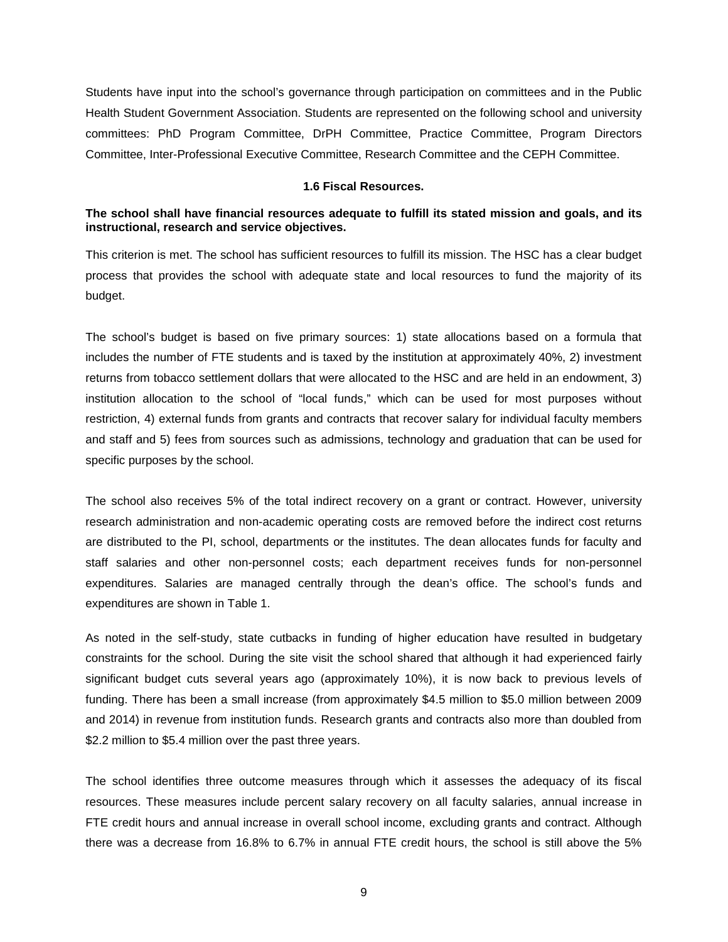Students have input into the school's governance through participation on committees and in the Public Health Student Government Association. Students are represented on the following school and university committees: PhD Program Committee, DrPH Committee, Practice Committee, Program Directors Committee, Inter-Professional Executive Committee, Research Committee and the CEPH Committee.

#### **1.6 Fiscal Resources.**

### <span id="page-10-0"></span>**The school shall have financial resources adequate to fulfill its stated mission and goals, and its instructional, research and service objectives.**

This criterion is met. The school has sufficient resources to fulfill its mission. The HSC has a clear budget process that provides the school with adequate state and local resources to fund the majority of its budget.

The school's budget is based on five primary sources: 1) state allocations based on a formula that includes the number of FTE students and is taxed by the institution at approximately 40%, 2) investment returns from tobacco settlement dollars that were allocated to the HSC and are held in an endowment, 3) institution allocation to the school of "local funds," which can be used for most purposes without restriction, 4) external funds from grants and contracts that recover salary for individual faculty members and staff and 5) fees from sources such as admissions, technology and graduation that can be used for specific purposes by the school.

The school also receives 5% of the total indirect recovery on a grant or contract. However, university research administration and non-academic operating costs are removed before the indirect cost returns are distributed to the PI, school, departments or the institutes. The dean allocates funds for faculty and staff salaries and other non-personnel costs; each department receives funds for non-personnel expenditures. Salaries are managed centrally through the dean's office. The school's funds and expenditures are shown in Table 1.

As noted in the self-study, state cutbacks in funding of higher education have resulted in budgetary constraints for the school. During the site visit the school shared that although it had experienced fairly significant budget cuts several years ago (approximately 10%), it is now back to previous levels of funding. There has been a small increase (from approximately \$4.5 million to \$5.0 million between 2009 and 2014) in revenue from institution funds. Research grants and contracts also more than doubled from \$2.2 million to \$5.4 million over the past three years.

The school identifies three outcome measures through which it assesses the adequacy of its fiscal resources. These measures include percent salary recovery on all faculty salaries, annual increase in FTE credit hours and annual increase in overall school income, excluding grants and contract. Although there was a decrease from 16.8% to 6.7% in annual FTE credit hours, the school is still above the 5%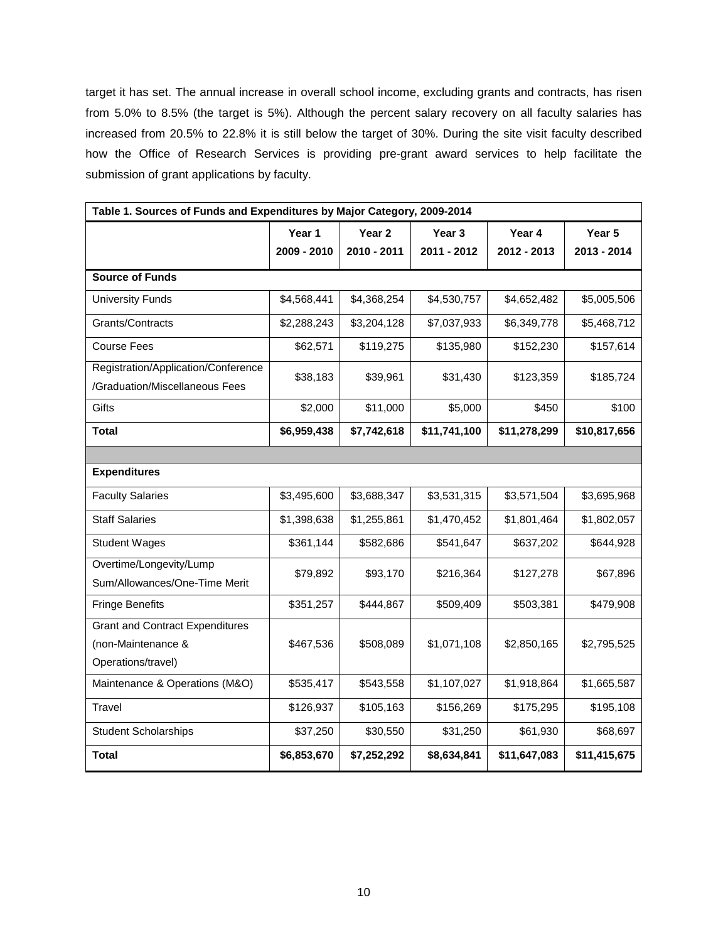target it has set. The annual increase in overall school income, excluding grants and contracts, has risen from 5.0% to 8.5% (the target is 5%). Although the percent salary recovery on all faculty salaries has increased from 20.5% to 22.8% it is still below the target of 30%. During the site visit faculty described how the Office of Research Services is providing pre-grant award services to help facilitate the submission of grant applications by faculty.

| Table 1. Sources of Funds and Expenditures by Major Category, 2009-2014            |             |                   |                   |              |              |
|------------------------------------------------------------------------------------|-------------|-------------------|-------------------|--------------|--------------|
|                                                                                    | Year 1      | Year <sub>2</sub> | Year <sub>3</sub> | Year 4       | Year 5       |
|                                                                                    | 2009 - 2010 | 2010 - 2011       | 2011 - 2012       | 2012 - 2013  | 2013 - 2014  |
| <b>Source of Funds</b>                                                             |             |                   |                   |              |              |
| <b>University Funds</b>                                                            | \$4,568,441 | \$4,368,254       | \$4,530,757       | \$4,652,482  | \$5,005,506  |
| Grants/Contracts                                                                   | \$2,288,243 | \$3,204,128       | \$7,037,933       | \$6,349,778  | \$5,468,712  |
| <b>Course Fees</b>                                                                 | \$62,571    | \$119,275         | \$135,980         | \$152,230    | \$157,614    |
| Registration/Application/Conference<br>/Graduation/Miscellaneous Fees              | \$38,183    | \$39,961          | \$31,430          | \$123,359    | \$185,724    |
| Gifts                                                                              | \$2,000     | \$11,000          | \$5,000           | \$450        | \$100        |
| Total                                                                              | \$6,959,438 | \$7,742,618       | \$11,741,100      | \$11,278,299 | \$10,817,656 |
|                                                                                    |             |                   |                   |              |              |
| <b>Expenditures</b>                                                                |             |                   |                   |              |              |
| <b>Faculty Salaries</b>                                                            | \$3,495,600 | \$3,688,347       | \$3,531,315       | \$3,571,504  | \$3,695,968  |
| <b>Staff Salaries</b>                                                              | \$1,398,638 | \$1,255,861       | \$1,470,452       | \$1,801,464  | \$1,802,057  |
| <b>Student Wages</b>                                                               | \$361,144   | \$582,686         | \$541,647         | \$637,202    | \$644,928    |
| Overtime/Longevity/Lump<br>Sum/Allowances/One-Time Merit                           | \$79,892    | \$93,170          | \$216,364         | \$127,278    | \$67,896     |
| <b>Fringe Benefits</b>                                                             | \$351,257   | \$444,867         | \$509,409         | \$503,381    | \$479,908    |
| <b>Grant and Contract Expenditures</b><br>(non-Maintenance &<br>Operations/travel) | \$467,536   | \$508,089         | \$1,071,108       | \$2,850,165  | \$2,795,525  |
| Maintenance & Operations (M&O)                                                     | \$535,417   | \$543,558         | \$1,107,027       | \$1,918,864  | \$1,665,587  |
| Travel                                                                             | \$126,937   | \$105,163         | \$156,269         | \$175,295    | \$195,108    |
| <b>Student Scholarships</b>                                                        | \$37,250    | \$30,550          | \$31,250          | \$61,930     | \$68,697     |
| <b>Total</b>                                                                       | \$6,853,670 | \$7,252,292       | \$8,634,841       | \$11,647,083 | \$11,415,675 |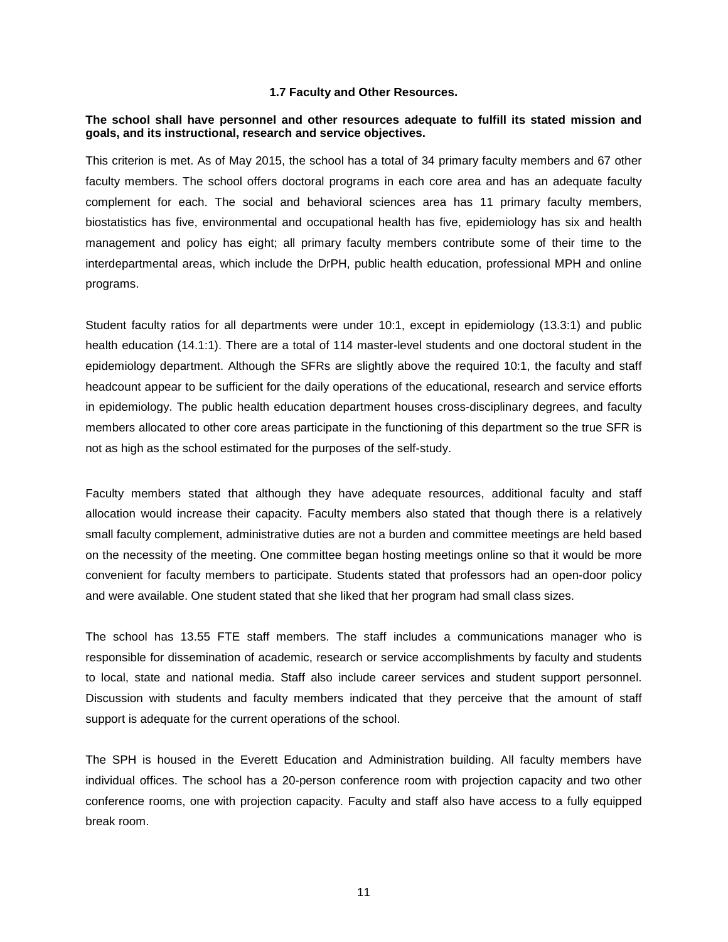#### **1.7 Faculty and Other Resources.**

#### <span id="page-12-0"></span>**The school shall have personnel and other resources adequate to fulfill its stated mission and goals, and its instructional, research and service objectives.**

This criterion is met. As of May 2015, the school has a total of 34 primary faculty members and 67 other faculty members. The school offers doctoral programs in each core area and has an adequate faculty complement for each. The social and behavioral sciences area has 11 primary faculty members, biostatistics has five, environmental and occupational health has five, epidemiology has six and health management and policy has eight; all primary faculty members contribute some of their time to the interdepartmental areas, which include the DrPH, public health education, professional MPH and online programs.

Student faculty ratios for all departments were under 10:1, except in epidemiology (13.3:1) and public health education (14.1:1). There are a total of 114 master-level students and one doctoral student in the epidemiology department. Although the SFRs are slightly above the required 10:1, the faculty and staff headcount appear to be sufficient for the daily operations of the educational, research and service efforts in epidemiology. The public health education department houses cross-disciplinary degrees, and faculty members allocated to other core areas participate in the functioning of this department so the true SFR is not as high as the school estimated for the purposes of the self-study.

Faculty members stated that although they have adequate resources, additional faculty and staff allocation would increase their capacity. Faculty members also stated that though there is a relatively small faculty complement, administrative duties are not a burden and committee meetings are held based on the necessity of the meeting. One committee began hosting meetings online so that it would be more convenient for faculty members to participate. Students stated that professors had an open-door policy and were available. One student stated that she liked that her program had small class sizes.

The school has 13.55 FTE staff members. The staff includes a communications manager who is responsible for dissemination of academic, research or service accomplishments by faculty and students to local, state and national media. Staff also include career services and student support personnel. Discussion with students and faculty members indicated that they perceive that the amount of staff support is adequate for the current operations of the school.

The SPH is housed in the Everett Education and Administration building. All faculty members have individual offices. The school has a 20-person conference room with projection capacity and two other conference rooms, one with projection capacity. Faculty and staff also have access to a fully equipped break room.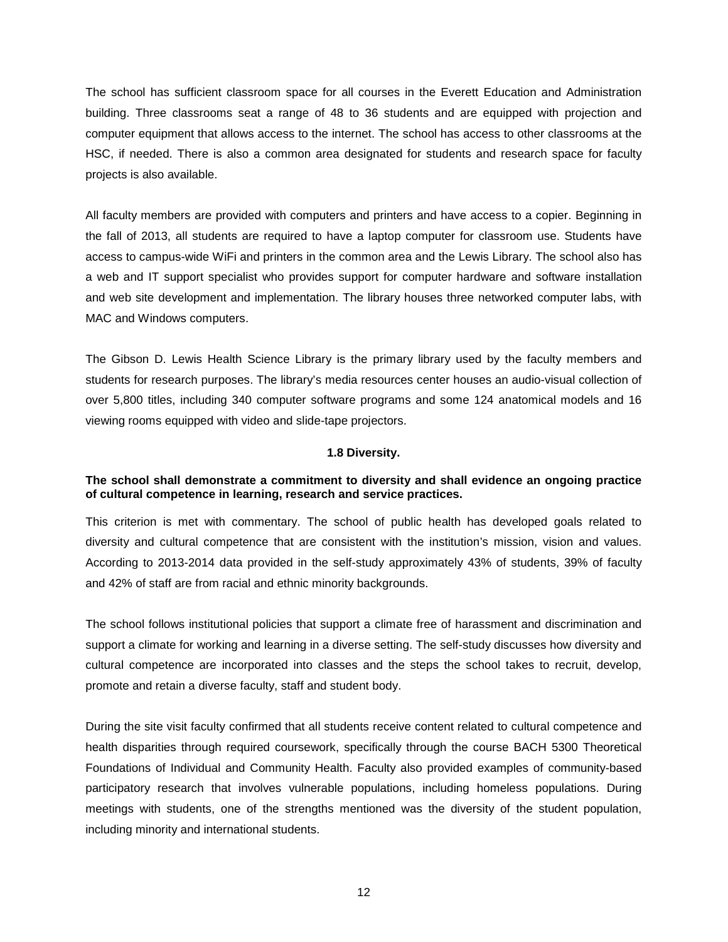The school has sufficient classroom space for all courses in the Everett Education and Administration building. Three classrooms seat a range of 48 to 36 students and are equipped with projection and computer equipment that allows access to the internet. The school has access to other classrooms at the HSC, if needed. There is also a common area designated for students and research space for faculty projects is also available.

All faculty members are provided with computers and printers and have access to a copier. Beginning in the fall of 2013, all students are required to have a laptop computer for classroom use. Students have access to campus-wide WiFi and printers in the common area and the Lewis Library. The school also has a web and IT support specialist who provides support for computer hardware and software installation and web site development and implementation. The library houses three networked computer labs, with MAC and Windows computers.

The Gibson D. Lewis Health Science Library is the primary library used by the faculty members and students for research purposes. The library's media resources center houses an audio-visual collection of over 5,800 titles, including 340 computer software programs and some 124 anatomical models and 16 viewing rooms equipped with video and slide-tape projectors.

### **1.8 Diversity.**

# <span id="page-13-0"></span>**The school shall demonstrate a commitment to diversity and shall evidence an ongoing practice of cultural competence in learning, research and service practices.**

This criterion is met with commentary. The school of public health has developed goals related to diversity and cultural competence that are consistent with the institution's mission, vision and values. According to 2013-2014 data provided in the self-study approximately 43% of students, 39% of faculty and 42% of staff are from racial and ethnic minority backgrounds.

The school follows institutional policies that support a climate free of harassment and discrimination and support a climate for working and learning in a diverse setting. The self-study discusses how diversity and cultural competence are incorporated into classes and the steps the school takes to recruit, develop, promote and retain a diverse faculty, staff and student body.

During the site visit faculty confirmed that all students receive content related to cultural competence and health disparities through required coursework, specifically through the course BACH 5300 Theoretical Foundations of Individual and Community Health. Faculty also provided examples of community-based participatory research that involves vulnerable populations, including homeless populations. During meetings with students, one of the strengths mentioned was the diversity of the student population, including minority and international students.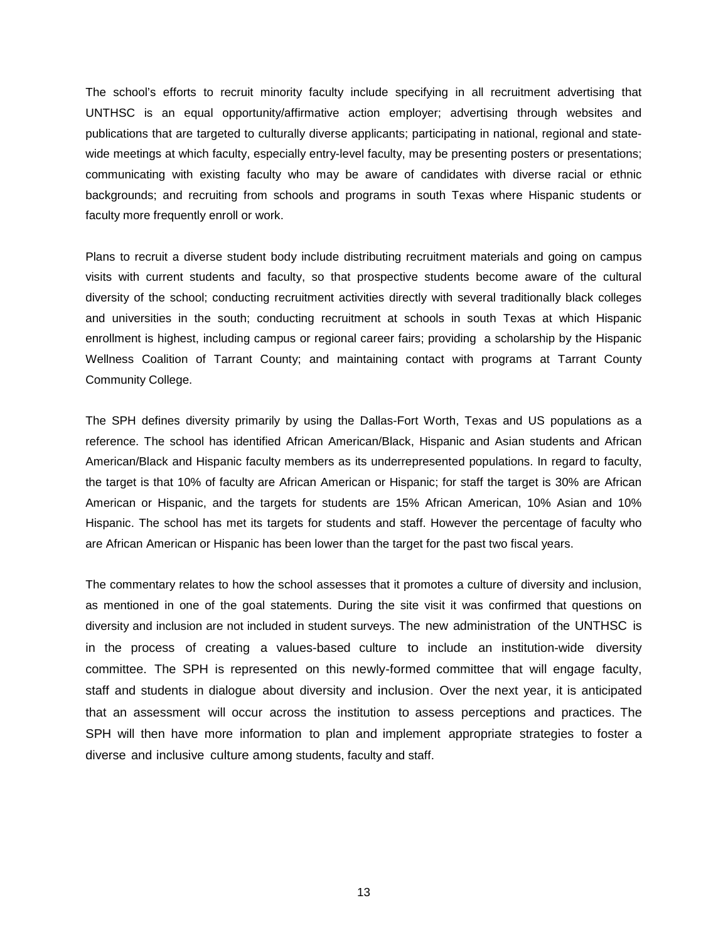The school's efforts to recruit minority faculty include specifying in all recruitment advertising that UNTHSC is an equal opportunity/affirmative action employer; advertising through websites and publications that are targeted to culturally diverse applicants; participating in national, regional and statewide meetings at which faculty, especially entry-level faculty, may be presenting posters or presentations; communicating with existing faculty who may be aware of candidates with diverse racial or ethnic backgrounds; and recruiting from schools and programs in south Texas where Hispanic students or faculty more frequently enroll or work.

Plans to recruit a diverse student body include distributing recruitment materials and going on campus visits with current students and faculty, so that prospective students become aware of the cultural diversity of the school; conducting recruitment activities directly with several traditionally black colleges and universities in the south; conducting recruitment at schools in south Texas at which Hispanic enrollment is highest, including campus or regional career fairs; providing a scholarship by the Hispanic Wellness Coalition of Tarrant County; and maintaining contact with programs at Tarrant County Community College.

The SPH defines diversity primarily by using the Dallas-Fort Worth, Texas and US populations as a reference. The school has identified African American/Black, Hispanic and Asian students and African American/Black and Hispanic faculty members as its underrepresented populations. In regard to faculty, the target is that 10% of faculty are African American or Hispanic; for staff the target is 30% are African American or Hispanic, and the targets for students are 15% African American, 10% Asian and 10% Hispanic. The school has met its targets for students and staff. However the percentage of faculty who are African American or Hispanic has been lower than the target for the past two fiscal years.

<span id="page-14-0"></span>The commentary relates to how the school assesses that it promotes a culture of diversity and inclusion, as mentioned in one of the goal statements. During the site visit it was confirmed that questions on diversity and inclusion are not included in student surveys. The new administration of the UNTHSC is in the process of creating a values-based culture to include an institution-wide diversity committee. The SPH is represented on this newly-formed committee that will engage faculty, staff and students in dialogue about diversity and inclusion. Over the next year, it is anticipated that an assessment will occur across the institution to assess perceptions and practices. The SPH will then have more information to plan and implement appropriate strategies to foster a diverse and inclusive culture among students, faculty and staff.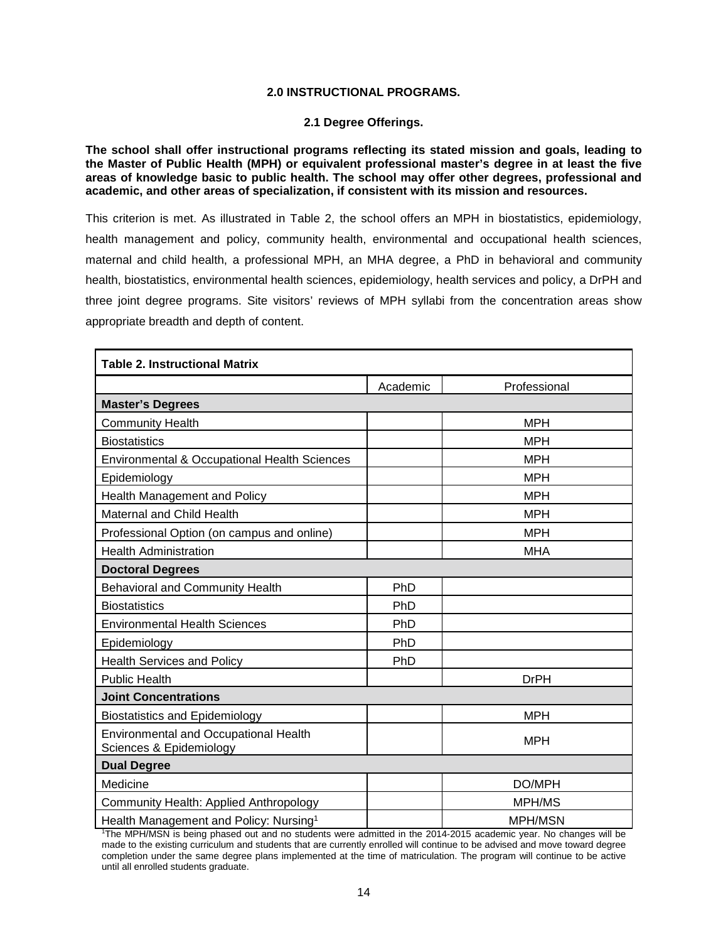### **2.0 INSTRUCTIONAL PROGRAMS.**

#### **2.1 Degree Offerings.**

<span id="page-15-0"></span>**The school shall offer instructional programs reflecting its stated mission and goals, leading to the Master of Public Health (MPH) or equivalent professional master's degree in at least the five areas of knowledge basic to public health. The school may offer other degrees, professional and academic, and other areas of specialization, if consistent with its mission and resources.**

This criterion is met. As illustrated in Table 2, the school offers an MPH in biostatistics, epidemiology, health management and policy, community health, environmental and occupational health sciences, maternal and child health, a professional MPH, an MHA degree, a PhD in behavioral and community health, biostatistics, environmental health sciences, epidemiology, health services and policy, a DrPH and three joint degree programs. Site visitors' reviews of MPH syllabi from the concentration areas show appropriate breadth and depth of content.

| <b>Table 2. Instructional Matrix</b>                                    |          |                |
|-------------------------------------------------------------------------|----------|----------------|
|                                                                         | Academic | Professional   |
| <b>Master's Degrees</b>                                                 |          |                |
| <b>Community Health</b>                                                 |          | <b>MPH</b>     |
| <b>Biostatistics</b>                                                    |          | <b>MPH</b>     |
| Environmental & Occupational Health Sciences                            |          | <b>MPH</b>     |
| Epidemiology                                                            |          | <b>MPH</b>     |
| Health Management and Policy                                            |          | <b>MPH</b>     |
| Maternal and Child Health                                               |          | <b>MPH</b>     |
| Professional Option (on campus and online)                              |          | <b>MPH</b>     |
| <b>Health Administration</b>                                            |          | <b>MHA</b>     |
| <b>Doctoral Degrees</b>                                                 |          |                |
| Behavioral and Community Health                                         | PhD      |                |
| <b>Biostatistics</b>                                                    | PhD      |                |
| <b>Environmental Health Sciences</b>                                    | PhD      |                |
| Epidemiology                                                            | PhD      |                |
| <b>Health Services and Policy</b>                                       | PhD      |                |
| <b>Public Health</b>                                                    |          | <b>DrPH</b>    |
| <b>Joint Concentrations</b>                                             |          |                |
| <b>Biostatistics and Epidemiology</b>                                   |          | <b>MPH</b>     |
| <b>Environmental and Occupational Health</b><br>Sciences & Epidemiology |          | <b>MPH</b>     |
| <b>Dual Degree</b>                                                      |          |                |
| Medicine                                                                |          | DO/MPH         |
| Community Health: Applied Anthropology                                  |          | MPH/MS         |
| Health Management and Policy: Nursing <sup>1</sup>                      |          | <b>MPH/MSN</b> |

1 The MPH/MSN is being phased out and no students were admitted in the 2014-2015 academic year. No changes will be made to the existing curriculum and students that are currently enrolled will continue to be advised and move toward degree completion under the same degree plans implemented at the time of matriculation. The program will continue to be active until all enrolled students graduate.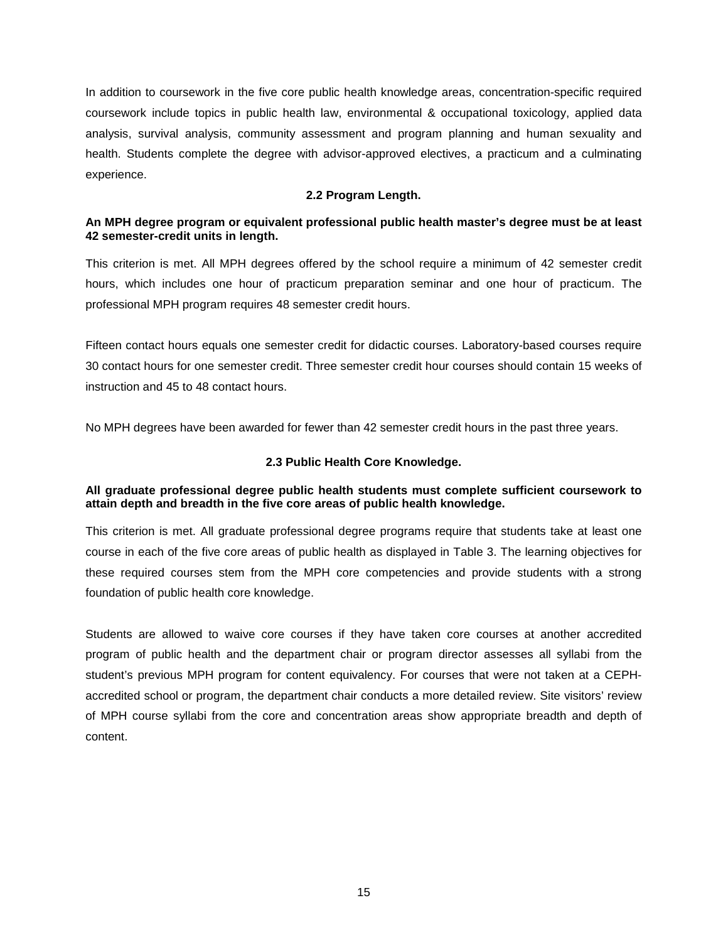In addition to coursework in the five core public health knowledge areas, concentration-specific required coursework include topics in public health law, environmental & occupational toxicology, applied data analysis, survival analysis, community assessment and program planning and human sexuality and health. Students complete the degree with advisor-approved electives, a practicum and a culminating experience.

### **2.2 Program Length.**

## <span id="page-16-0"></span>**An MPH degree program or equivalent professional public health master's degree must be at least 42 semester-credit units in length.**

This criterion is met. All MPH degrees offered by the school require a minimum of 42 semester credit hours, which includes one hour of practicum preparation seminar and one hour of practicum. The professional MPH program requires 48 semester credit hours.

Fifteen contact hours equals one semester credit for didactic courses. Laboratory-based courses require 30 contact hours for one semester credit. Three semester credit hour courses should contain 15 weeks of instruction and 45 to 48 contact hours.

No MPH degrees have been awarded for fewer than 42 semester credit hours in the past three years.

### **2.3 Public Health Core Knowledge.**

### <span id="page-16-1"></span>**All graduate professional degree public health students must complete sufficient coursework to attain depth and breadth in the five core areas of public health knowledge.**

This criterion is met. All graduate professional degree programs require that students take at least one course in each of the five core areas of public health as displayed in Table 3. The learning objectives for these required courses stem from the MPH core competencies and provide students with a strong foundation of public health core knowledge.

Students are allowed to waive core courses if they have taken core courses at another accredited program of public health and the department chair or program director assesses all syllabi from the student's previous MPH program for content equivalency. For courses that were not taken at a CEPHaccredited school or program, the department chair conducts a more detailed review. Site visitors' review of MPH course syllabi from the core and concentration areas show appropriate breadth and depth of content.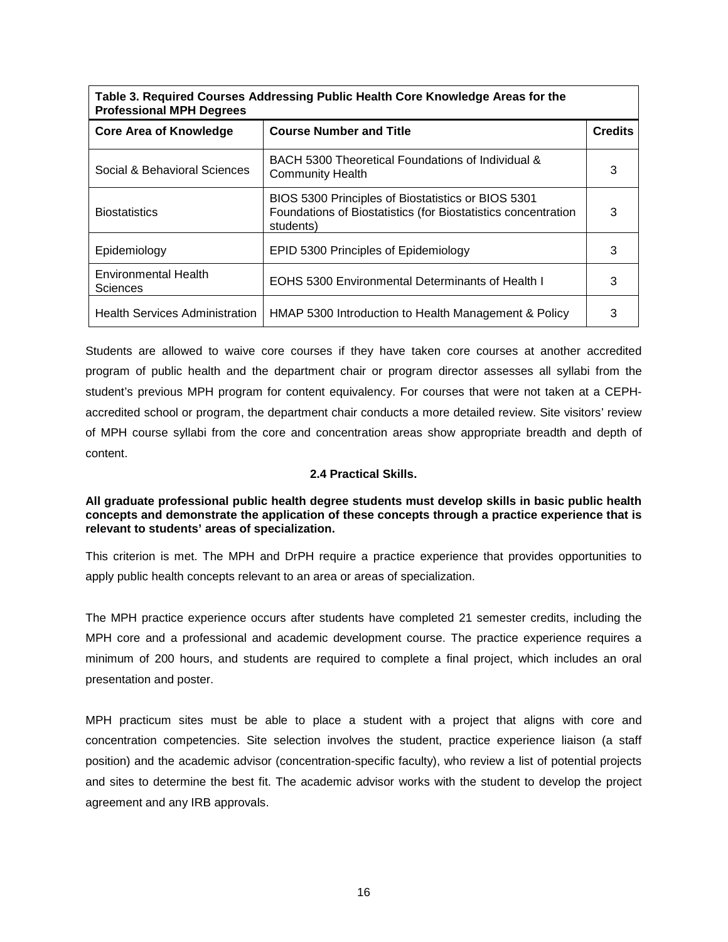| Table 3. Required Courses Addressing Public Health Core Knowledge Areas for the<br><b>Professional MPH Degrees</b> |                                                                                                                                  |                |
|--------------------------------------------------------------------------------------------------------------------|----------------------------------------------------------------------------------------------------------------------------------|----------------|
| <b>Core Area of Knowledge</b>                                                                                      | <b>Course Number and Title</b>                                                                                                   | <b>Credits</b> |
| Social & Behavioral Sciences                                                                                       | BACH 5300 Theoretical Foundations of Individual &<br><b>Community Health</b>                                                     | 3              |
| <b>Biostatistics</b>                                                                                               | BIOS 5300 Principles of Biostatistics or BIOS 5301<br>Foundations of Biostatistics (for Biostatistics concentration<br>students) | з              |
| Epidemiology                                                                                                       | EPID 5300 Principles of Epidemiology                                                                                             | 3              |
| Environmental Health<br><b>Sciences</b>                                                                            | <b>EOHS 5300 Environmental Determinants of Health I</b>                                                                          | з              |
| <b>Health Services Administration</b>                                                                              | HMAP 5300 Introduction to Health Management & Policy                                                                             | 3              |

Students are allowed to waive core courses if they have taken core courses at another accredited program of public health and the department chair or program director assesses all syllabi from the student's previous MPH program for content equivalency. For courses that were not taken at a CEPHaccredited school or program, the department chair conducts a more detailed review. Site visitors' review of MPH course syllabi from the core and concentration areas show appropriate breadth and depth of content.

## **2.4 Practical Skills.**

## <span id="page-17-0"></span>**All graduate professional public health degree students must develop skills in basic public health concepts and demonstrate the application of these concepts through a practice experience that is relevant to students' areas of specialization.**

This criterion is met. The MPH and DrPH require a practice experience that provides opportunities to apply public health concepts relevant to an area or areas of specialization.

The MPH practice experience occurs after students have completed 21 semester credits, including the MPH core and a professional and academic development course. The practice experience requires a minimum of 200 hours, and students are required to complete a final project, which includes an oral presentation and poster.

MPH practicum sites must be able to place a student with a project that aligns with core and concentration competencies. Site selection involves the student, practice experience liaison (a staff position) and the academic advisor (concentration-specific faculty), who review a list of potential projects and sites to determine the best fit. The academic advisor works with the student to develop the project agreement and any IRB approvals.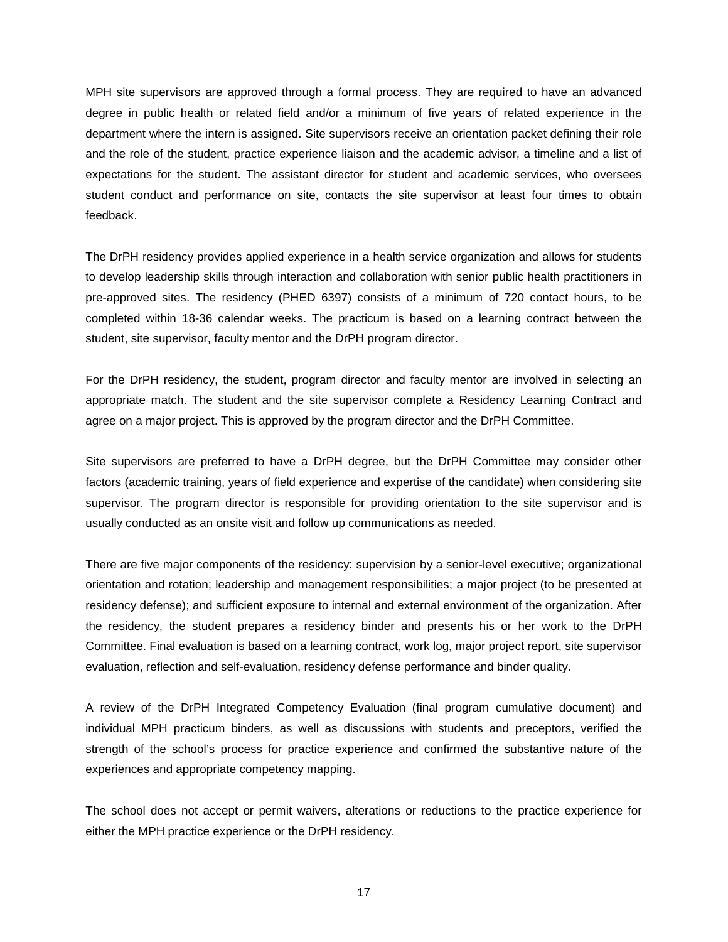MPH site supervisors are approved through a formal process. They are required to have an advanced degree in public health or related field and/or a minimum of five years of related experience in the department where the intern is assigned. Site supervisors receive an orientation packet defining their role and the role of the student, practice experience liaison and the academic advisor, a timeline and a list of expectations for the student. The assistant director for student and academic services, who oversees student conduct and performance on site, contacts the site supervisor at least four times to obtain feedback.

The DrPH residency provides applied experience in a health service organization and allows for students to develop leadership skills through interaction and collaboration with senior public health practitioners in pre-approved sites. The residency (PHED 6397) consists of a minimum of 720 contact hours, to be completed within 18-36 calendar weeks. The practicum is based on a learning contract between the student, site supervisor, faculty mentor and the DrPH program director.

For the DrPH residency, the student, program director and faculty mentor are involved in selecting an appropriate match. The student and the site supervisor complete a Residency Learning Contract and agree on a major project. This is approved by the program director and the DrPH Committee.

Site supervisors are preferred to have a DrPH degree, but the DrPH Committee may consider other factors (academic training, years of field experience and expertise of the candidate) when considering site supervisor. The program director is responsible for providing orientation to the site supervisor and is usually conducted as an onsite visit and follow up communications as needed.

There are five major components of the residency: supervision by a senior-level executive; organizational orientation and rotation; leadership and management responsibilities; a major project (to be presented at residency defense); and sufficient exposure to internal and external environment of the organization. After the residency, the student prepares a residency binder and presents his or her work to the DrPH Committee. Final evaluation is based on a learning contract, work log, major project report, site supervisor evaluation, reflection and self-evaluation, residency defense performance and binder quality.

A review of the DrPH Integrated Competency Evaluation (final program cumulative document) and individual MPH practicum binders, as well as discussions with students and preceptors, verified the strength of the school's process for practice experience and confirmed the substantive nature of the experiences and appropriate competency mapping.

The school does not accept or permit waivers, alterations or reductions to the practice experience for either the MPH practice experience or the DrPH residency.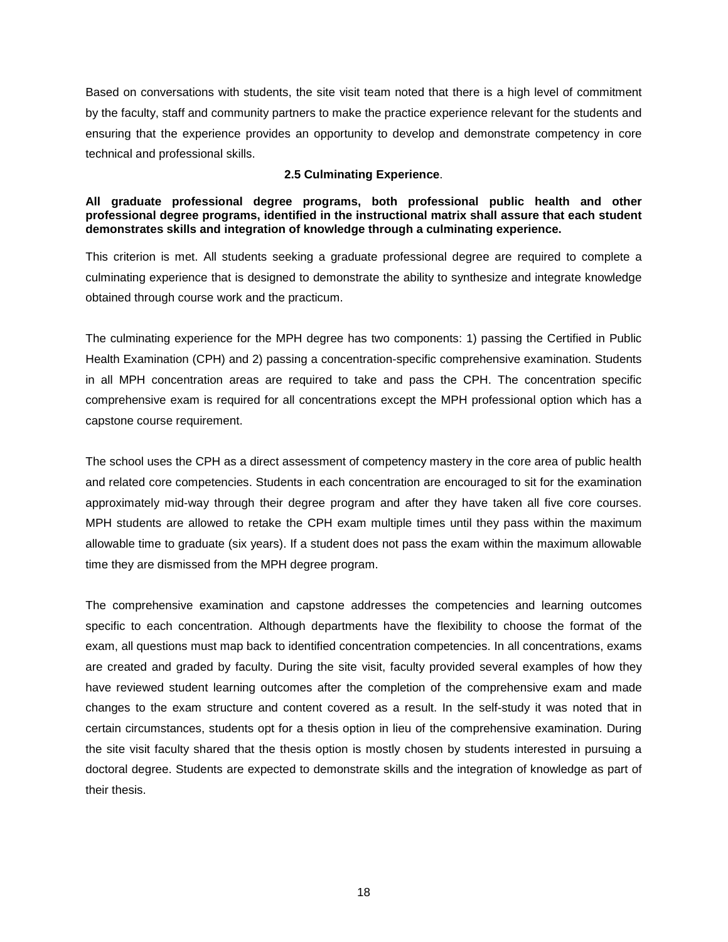Based on conversations with students, the site visit team noted that there is a high level of commitment by the faculty, staff and community partners to make the practice experience relevant for the students and ensuring that the experience provides an opportunity to develop and demonstrate competency in core technical and professional skills.

### **2.5 Culminating Experience**.

### <span id="page-19-0"></span>**All graduate professional degree programs, both professional public health and other professional degree programs, identified in the instructional matrix shall assure that each student demonstrates skills and integration of knowledge through a culminating experience.**

This criterion is met. All students seeking a graduate professional degree are required to complete a culminating experience that is designed to demonstrate the ability to synthesize and integrate knowledge obtained through course work and the practicum.

The culminating experience for the MPH degree has two components: 1) passing the Certified in Public Health Examination (CPH) and 2) passing a concentration-specific comprehensive examination. Students in all MPH concentration areas are required to take and pass the CPH. The concentration specific comprehensive exam is required for all concentrations except the MPH professional option which has a capstone course requirement.

The school uses the CPH as a direct assessment of competency mastery in the core area of public health and related core competencies. Students in each concentration are encouraged to sit for the examination approximately mid-way through their degree program and after they have taken all five core courses. MPH students are allowed to retake the CPH exam multiple times until they pass within the maximum allowable time to graduate (six years). If a student does not pass the exam within the maximum allowable time they are dismissed from the MPH degree program.

The comprehensive examination and capstone addresses the competencies and learning outcomes specific to each concentration. Although departments have the flexibility to choose the format of the exam, all questions must map back to identified concentration competencies. In all concentrations, exams are created and graded by faculty. During the site visit, faculty provided several examples of how they have reviewed student learning outcomes after the completion of the comprehensive exam and made changes to the exam structure and content covered as a result. In the self-study it was noted that in certain circumstances, students opt for a thesis option in lieu of the comprehensive examination. During the site visit faculty shared that the thesis option is mostly chosen by students interested in pursuing a doctoral degree. Students are expected to demonstrate skills and the integration of knowledge as part of their thesis.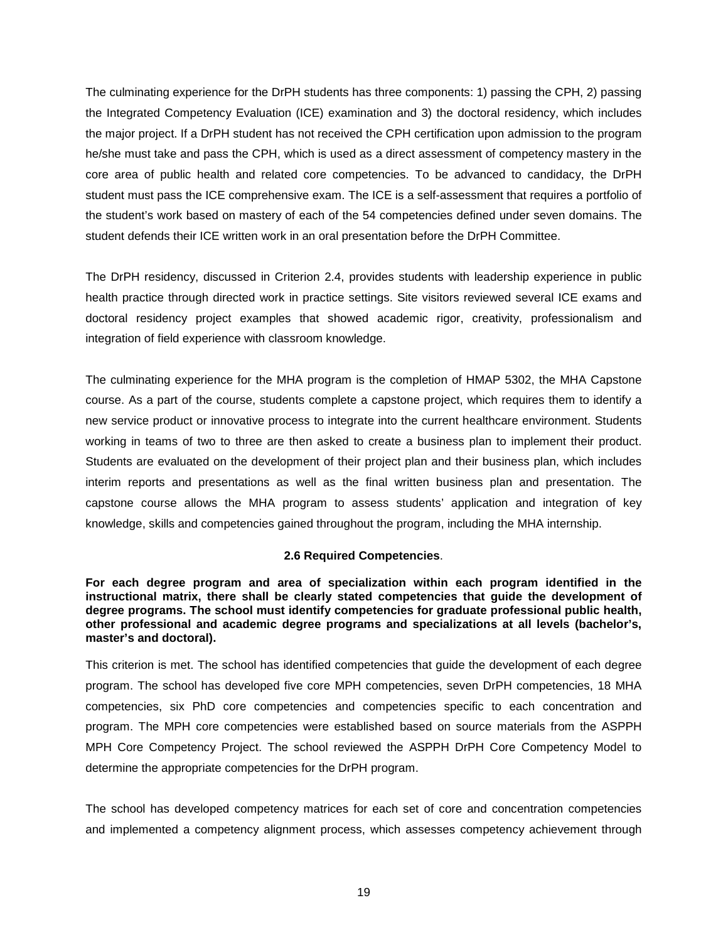The culminating experience for the DrPH students has three components: 1) passing the CPH, 2) passing the Integrated Competency Evaluation (ICE) examination and 3) the doctoral residency, which includes the major project. If a DrPH student has not received the CPH certification upon admission to the program he/she must take and pass the CPH, which is used as a direct assessment of competency mastery in the core area of public health and related core competencies. To be advanced to candidacy, the DrPH student must pass the ICE comprehensive exam. The ICE is a self-assessment that requires a portfolio of the student's work based on mastery of each of the 54 competencies defined under seven domains. The student defends their ICE written work in an oral presentation before the DrPH Committee.

The DrPH residency, discussed in Criterion 2.4, provides students with leadership experience in public health practice through directed work in practice settings. Site visitors reviewed several ICE exams and doctoral residency project examples that showed academic rigor, creativity, professionalism and integration of field experience with classroom knowledge.

The culminating experience for the MHA program is the completion of HMAP 5302, the MHA Capstone course. As a part of the course, students complete a capstone project, which requires them to identify a new service product or innovative process to integrate into the current healthcare environment. Students working in teams of two to three are then asked to create a business plan to implement their product. Students are evaluated on the development of their project plan and their business plan, which includes interim reports and presentations as well as the final written business plan and presentation. The capstone course allows the MHA program to assess students' application and integration of key knowledge, skills and competencies gained throughout the program, including the MHA internship.

### **2.6 Required Competencies**.

<span id="page-20-0"></span>**For each degree program and area of specialization within each program identified in the instructional matrix, there shall be clearly stated competencies that guide the development of degree programs. The school must identify competencies for graduate professional public health, other professional and academic degree programs and specializations at all levels (bachelor's, master's and doctoral).**

This criterion is met. The school has identified competencies that guide the development of each degree program. The school has developed five core MPH competencies, seven DrPH competencies, 18 MHA competencies, six PhD core competencies and competencies specific to each concentration and program. The MPH core competencies were established based on source materials from the ASPPH MPH Core Competency Project. The school reviewed the ASPPH DrPH Core Competency Model to determine the appropriate competencies for the DrPH program.

The school has developed competency matrices for each set of core and concentration competencies and implemented a competency alignment process, which assesses competency achievement through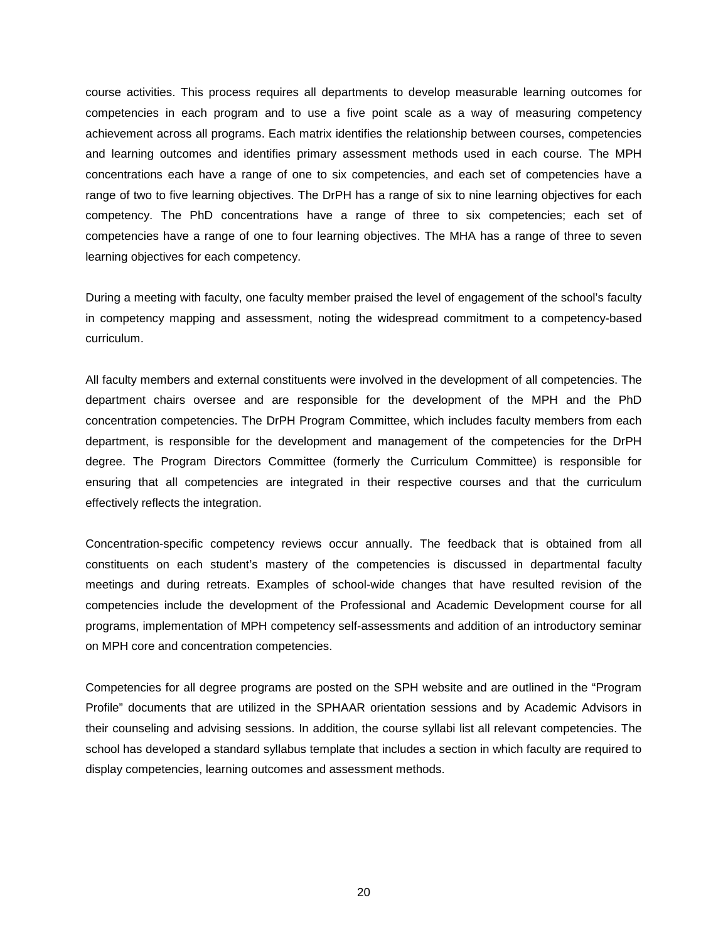course activities. This process requires all departments to develop measurable learning outcomes for competencies in each program and to use a five point scale as a way of measuring competency achievement across all programs. Each matrix identifies the relationship between courses, competencies and learning outcomes and identifies primary assessment methods used in each course. The MPH concentrations each have a range of one to six competencies, and each set of competencies have a range of two to five learning objectives. The DrPH has a range of six to nine learning objectives for each competency. The PhD concentrations have a range of three to six competencies; each set of competencies have a range of one to four learning objectives. The MHA has a range of three to seven learning objectives for each competency.

During a meeting with faculty, one faculty member praised the level of engagement of the school's faculty in competency mapping and assessment, noting the widespread commitment to a competency-based curriculum.

All faculty members and external constituents were involved in the development of all competencies. The department chairs oversee and are responsible for the development of the MPH and the PhD concentration competencies. The DrPH Program Committee, which includes faculty members from each department, is responsible for the development and management of the competencies for the DrPH degree. The Program Directors Committee (formerly the Curriculum Committee) is responsible for ensuring that all competencies are integrated in their respective courses and that the curriculum effectively reflects the integration.

Concentration-specific competency reviews occur annually. The feedback that is obtained from all constituents on each student's mastery of the competencies is discussed in departmental faculty meetings and during retreats. Examples of school-wide changes that have resulted revision of the competencies include the development of the Professional and Academic Development course for all programs, implementation of MPH competency self-assessments and addition of an introductory seminar on MPH core and concentration competencies.

Competencies for all degree programs are posted on the SPH website and are outlined in the "Program Profile" documents that are utilized in the SPHAAR orientation sessions and by Academic Advisors in their counseling and advising sessions. In addition, the course syllabi list all relevant competencies. The school has developed a standard syllabus template that includes a section in which faculty are required to display competencies, learning outcomes and assessment methods.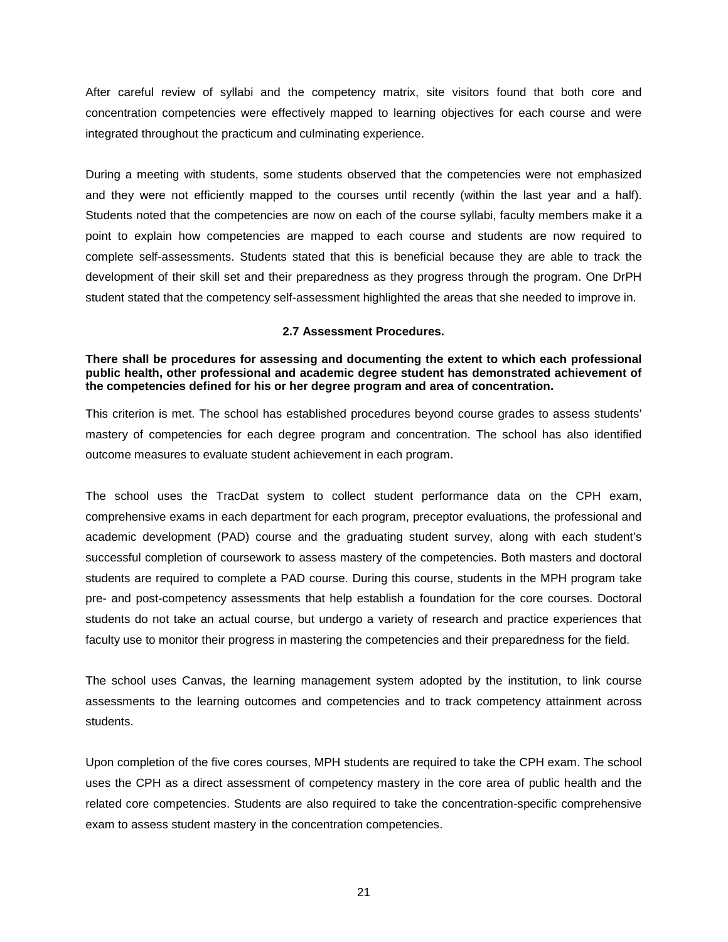After careful review of syllabi and the competency matrix, site visitors found that both core and concentration competencies were effectively mapped to learning objectives for each course and were integrated throughout the practicum and culminating experience.

During a meeting with students, some students observed that the competencies were not emphasized and they were not efficiently mapped to the courses until recently (within the last year and a half). Students noted that the competencies are now on each of the course syllabi, faculty members make it a point to explain how competencies are mapped to each course and students are now required to complete self-assessments. Students stated that this is beneficial because they are able to track the development of their skill set and their preparedness as they progress through the program. One DrPH student stated that the competency self-assessment highlighted the areas that she needed to improve in.

### **2.7 Assessment Procedures.**

<span id="page-22-0"></span>**There shall be procedures for assessing and documenting the extent to which each professional public health, other professional and academic degree student has demonstrated achievement of the competencies defined for his or her degree program and area of concentration.**

This criterion is met. The school has established procedures beyond course grades to assess students' mastery of competencies for each degree program and concentration. The school has also identified outcome measures to evaluate student achievement in each program.

The school uses the TracDat system to collect student performance data on the CPH exam, comprehensive exams in each department for each program, preceptor evaluations, the professional and academic development (PAD) course and the graduating student survey, along with each student's successful completion of coursework to assess mastery of the competencies. Both masters and doctoral students are required to complete a PAD course. During this course, students in the MPH program take pre- and post-competency assessments that help establish a foundation for the core courses. Doctoral students do not take an actual course, but undergo a variety of research and practice experiences that faculty use to monitor their progress in mastering the competencies and their preparedness for the field.

The school uses Canvas, the learning management system adopted by the institution, to link course assessments to the learning outcomes and competencies and to track competency attainment across students.

Upon completion of the five cores courses, MPH students are required to take the CPH exam. The school uses the CPH as a direct assessment of competency mastery in the core area of public health and the related core competencies. Students are also required to take the concentration-specific comprehensive exam to assess student mastery in the concentration competencies.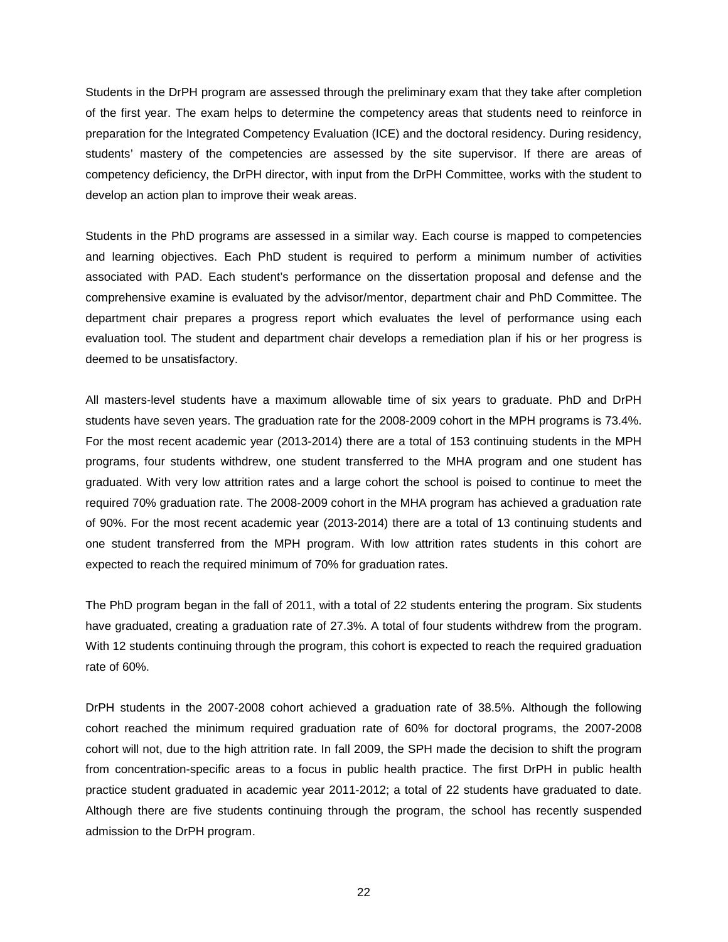Students in the DrPH program are assessed through the preliminary exam that they take after completion of the first year. The exam helps to determine the competency areas that students need to reinforce in preparation for the Integrated Competency Evaluation (ICE) and the doctoral residency. During residency, students' mastery of the competencies are assessed by the site supervisor. If there are areas of competency deficiency, the DrPH director, with input from the DrPH Committee, works with the student to develop an action plan to improve their weak areas.

Students in the PhD programs are assessed in a similar way. Each course is mapped to competencies and learning objectives. Each PhD student is required to perform a minimum number of activities associated with PAD. Each student's performance on the dissertation proposal and defense and the comprehensive examine is evaluated by the advisor/mentor, department chair and PhD Committee. The department chair prepares a progress report which evaluates the level of performance using each evaluation tool. The student and department chair develops a remediation plan if his or her progress is deemed to be unsatisfactory.

All masters-level students have a maximum allowable time of six years to graduate. PhD and DrPH students have seven years. The graduation rate for the 2008-2009 cohort in the MPH programs is 73.4%. For the most recent academic year (2013-2014) there are a total of 153 continuing students in the MPH programs, four students withdrew, one student transferred to the MHA program and one student has graduated. With very low attrition rates and a large cohort the school is poised to continue to meet the required 70% graduation rate. The 2008-2009 cohort in the MHA program has achieved a graduation rate of 90%. For the most recent academic year (2013-2014) there are a total of 13 continuing students and one student transferred from the MPH program. With low attrition rates students in this cohort are expected to reach the required minimum of 70% for graduation rates.

The PhD program began in the fall of 2011, with a total of 22 students entering the program. Six students have graduated, creating a graduation rate of 27.3%. A total of four students withdrew from the program. With 12 students continuing through the program, this cohort is expected to reach the required graduation rate of 60%.

DrPH students in the 2007-2008 cohort achieved a graduation rate of 38.5%. Although the following cohort reached the minimum required graduation rate of 60% for doctoral programs, the 2007-2008 cohort will not, due to the high attrition rate. In fall 2009, the SPH made the decision to shift the program from concentration-specific areas to a focus in public health practice. The first DrPH in public health practice student graduated in academic year 2011-2012; a total of 22 students have graduated to date. Although there are five students continuing through the program, the school has recently suspended admission to the DrPH program.

22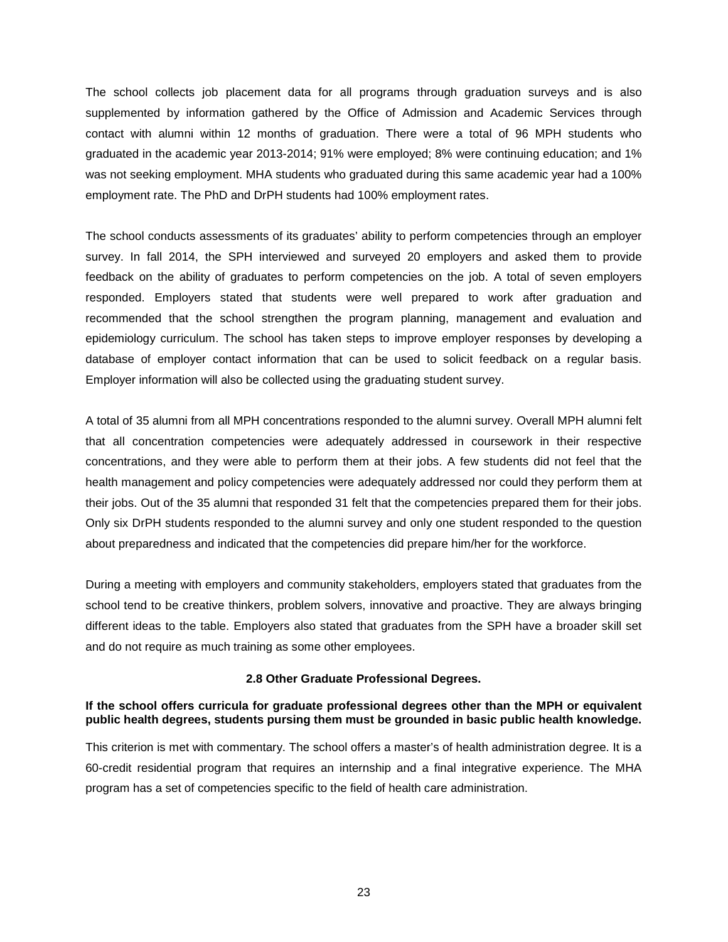The school collects job placement data for all programs through graduation surveys and is also supplemented by information gathered by the Office of Admission and Academic Services through contact with alumni within 12 months of graduation. There were a total of 96 MPH students who graduated in the academic year 2013-2014; 91% were employed; 8% were continuing education; and 1% was not seeking employment. MHA students who graduated during this same academic year had a 100% employment rate. The PhD and DrPH students had 100% employment rates.

The school conducts assessments of its graduates' ability to perform competencies through an employer survey. In fall 2014, the SPH interviewed and surveyed 20 employers and asked them to provide feedback on the ability of graduates to perform competencies on the job. A total of seven employers responded. Employers stated that students were well prepared to work after graduation and recommended that the school strengthen the program planning, management and evaluation and epidemiology curriculum. The school has taken steps to improve employer responses by developing a database of employer contact information that can be used to solicit feedback on a regular basis. Employer information will also be collected using the graduating student survey.

A total of 35 alumni from all MPH concentrations responded to the alumni survey. Overall MPH alumni felt that all concentration competencies were adequately addressed in coursework in their respective concentrations, and they were able to perform them at their jobs. A few students did not feel that the health management and policy competencies were adequately addressed nor could they perform them at their jobs. Out of the 35 alumni that responded 31 felt that the competencies prepared them for their jobs. Only six DrPH students responded to the alumni survey and only one student responded to the question about preparedness and indicated that the competencies did prepare him/her for the workforce.

During a meeting with employers and community stakeholders, employers stated that graduates from the school tend to be creative thinkers, problem solvers, innovative and proactive. They are always bringing different ideas to the table. Employers also stated that graduates from the SPH have a broader skill set and do not require as much training as some other employees.

#### **2.8 Other Graduate Professional Degrees.**

#### <span id="page-24-0"></span>**If the school offers curricula for graduate professional degrees other than the MPH or equivalent public health degrees, students pursing them must be grounded in basic public health knowledge.**

This criterion is met with commentary. The school offers a master's of health administration degree. It is a 60-credit residential program that requires an internship and a final integrative experience. The MHA program has a set of competencies specific to the field of health care administration.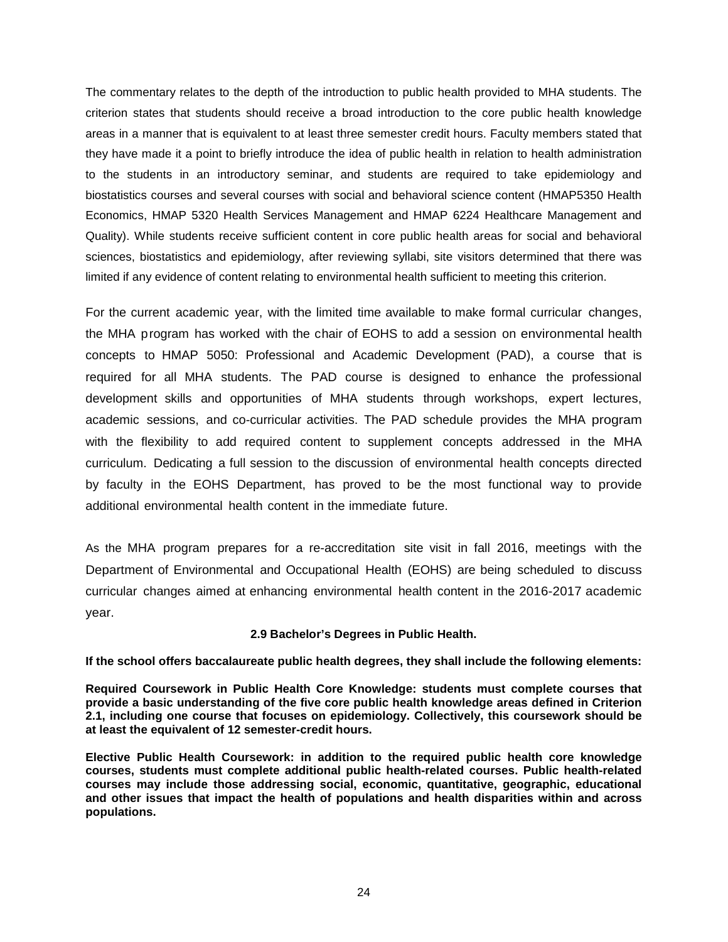The commentary relates to the depth of the introduction to public health provided to MHA students. The criterion states that students should receive a broad introduction to the core public health knowledge areas in a manner that is equivalent to at least three semester credit hours. Faculty members stated that they have made it a point to briefly introduce the idea of public health in relation to health administration to the students in an introductory seminar, and students are required to take epidemiology and biostatistics courses and several courses with social and behavioral science content (HMAP5350 Health Economics, HMAP 5320 Health Services Management and HMAP 6224 Healthcare Management and Quality). While students receive sufficient content in core public health areas for social and behavioral sciences, biostatistics and epidemiology, after reviewing syllabi, site visitors determined that there was limited if any evidence of content relating to environmental health sufficient to meeting this criterion.

For the current academic year, with the limited time available to make formal curricular changes, the MHA program has worked with the chair of EOHS to add a session on environmental health concepts to HMAP 5050: Professional and Academic Development (PAD), a course that is required for all MHA students. The PAD course is designed to enhance the professional development skills and opportunities of MHA students through workshops, expert lectures, academic sessions, and co-curricular activities. The PAD schedule provides the MHA program with the flexibility to add required content to supplement concepts addressed in the MHA curriculum. Dedicating a full session to the discussion of environmental health concepts directed by faculty in the EOHS Department, has proved to be the most functional way to provide additional environmental health content in the immediate future.

As the MHA program prepares for a re-accreditation site visit in fall 2016, meetings with the Department of Environmental and Occupational Health (EOHS) are being scheduled to discuss curricular changes aimed at enhancing environmental health content in the 2016-2017 academic year.

### **2.9 Bachelor's Degrees in Public Health.**

<span id="page-25-0"></span>**If the school offers baccalaureate public health degrees, they shall include the following elements:**

**Required Coursework in Public Health Core Knowledge: students must complete courses that provide a basic understanding of the five core public health knowledge areas defined in Criterion 2.1, including one course that focuses on epidemiology. Collectively, this coursework should be at least the equivalent of 12 semester-credit hours.**

**Elective Public Health Coursework: in addition to the required public health core knowledge courses, students must complete additional public health-related courses. Public health-related courses may include those addressing social, economic, quantitative, geographic, educational and other issues that impact the health of populations and health disparities within and across populations.**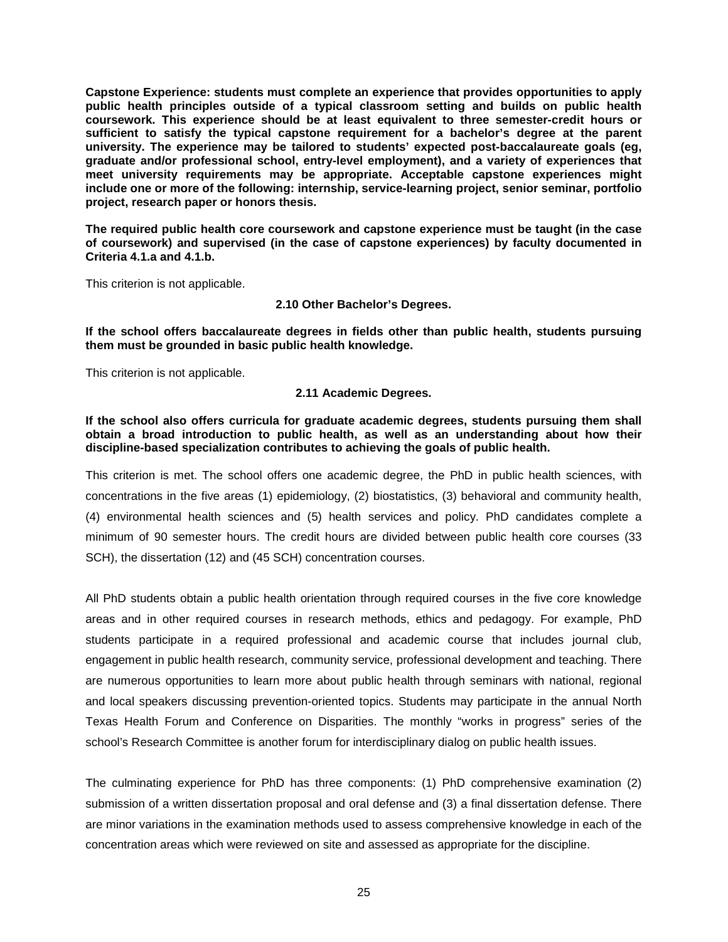**Capstone Experience: students must complete an experience that provides opportunities to apply public health principles outside of a typical classroom setting and builds on public health coursework. This experience should be at least equivalent to three semester-credit hours or sufficient to satisfy the typical capstone requirement for a bachelor's degree at the parent university. The experience may be tailored to students' expected post-baccalaureate goals (eg, graduate and/or professional school, entry-level employment), and a variety of experiences that meet university requirements may be appropriate. Acceptable capstone experiences might include one or more of the following: internship, service-learning project, senior seminar, portfolio project, research paper or honors thesis.**

**The required public health core coursework and capstone experience must be taught (in the case of coursework) and supervised (in the case of capstone experiences) by faculty documented in Criteria 4.1.a and 4.1.b.**

<span id="page-26-0"></span>This criterion is not applicable.

**2.10 Other Bachelor's Degrees.**

**If the school offers baccalaureate degrees in fields other than public health, students pursuing them must be grounded in basic public health knowledge.**

<span id="page-26-1"></span>This criterion is not applicable.

**2.11 Academic Degrees.**

**If the school also offers curricula for graduate academic degrees, students pursuing them shall obtain a broad introduction to public health, as well as an understanding about how their discipline-based specialization contributes to achieving the goals of public health.**

This criterion is met. The school offers one academic degree, the PhD in public health sciences, with concentrations in the five areas (1) epidemiology, (2) biostatistics, (3) behavioral and community health, (4) environmental health sciences and (5) health services and policy. PhD candidates complete a minimum of 90 semester hours. The credit hours are divided between public health core courses (33 SCH), the dissertation (12) and (45 SCH) concentration courses.

All PhD students obtain a public health orientation through required courses in the five core knowledge areas and in other required courses in research methods, ethics and pedagogy. For example, PhD students participate in a required professional and academic course that includes journal club, engagement in public health research, community service, professional development and teaching. There are numerous opportunities to learn more about public health through seminars with national, regional and local speakers discussing prevention-oriented topics. Students may participate in the annual North Texas Health Forum and Conference on Disparities. The monthly "works in progress" series of the school's Research Committee is another forum for interdisciplinary dialog on public health issues.

The culminating experience for PhD has three components: (1) PhD comprehensive examination (2) submission of a written dissertation proposal and oral defense and (3) a final dissertation defense. There are minor variations in the examination methods used to assess comprehensive knowledge in each of the concentration areas which were reviewed on site and assessed as appropriate for the discipline.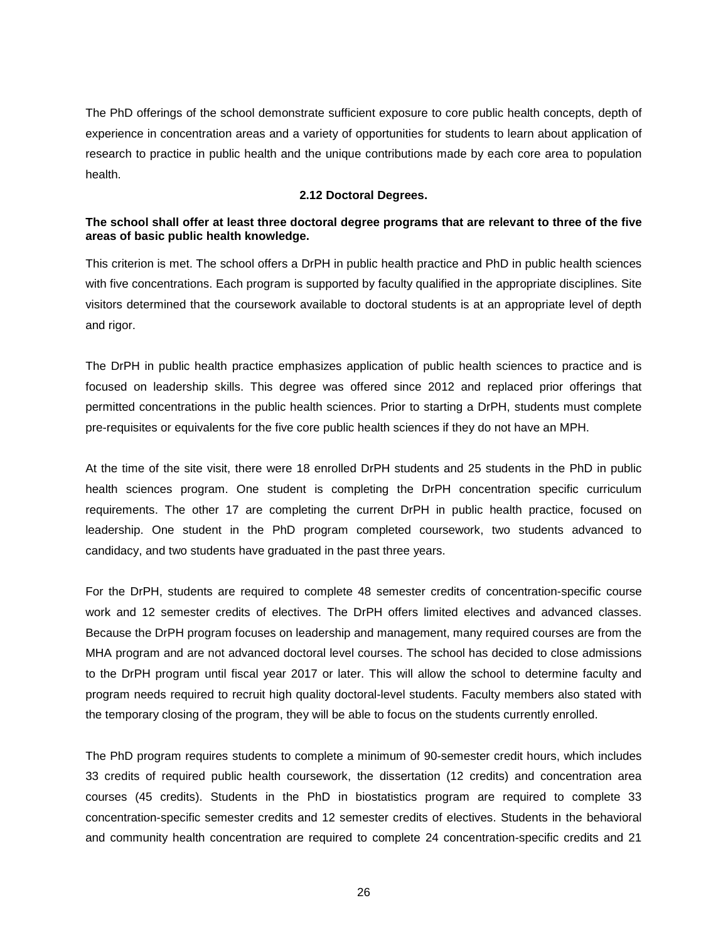The PhD offerings of the school demonstrate sufficient exposure to core public health concepts, depth of experience in concentration areas and a variety of opportunities for students to learn about application of research to practice in public health and the unique contributions made by each core area to population health.

#### **2.12 Doctoral Degrees.**

### <span id="page-27-0"></span>**The school shall offer at least three doctoral degree programs that are relevant to three of the five areas of basic public health knowledge.**

This criterion is met. The school offers a DrPH in public health practice and PhD in public health sciences with five concentrations. Each program is supported by faculty qualified in the appropriate disciplines. Site visitors determined that the coursework available to doctoral students is at an appropriate level of depth and rigor.

The DrPH in public health practice emphasizes application of public health sciences to practice and is focused on leadership skills. This degree was offered since 2012 and replaced prior offerings that permitted concentrations in the public health sciences. Prior to starting a DrPH, students must complete pre-requisites or equivalents for the five core public health sciences if they do not have an MPH.

At the time of the site visit, there were 18 enrolled DrPH students and 25 students in the PhD in public health sciences program. One student is completing the DrPH concentration specific curriculum requirements. The other 17 are completing the current DrPH in public health practice, focused on leadership. One student in the PhD program completed coursework, two students advanced to candidacy, and two students have graduated in the past three years.

For the DrPH, students are required to complete 48 semester credits of concentration-specific course work and 12 semester credits of electives. The DrPH offers limited electives and advanced classes. Because the DrPH program focuses on leadership and management, many required courses are from the MHA program and are not advanced doctoral level courses. The school has decided to close admissions to the DrPH program until fiscal year 2017 or later. This will allow the school to determine faculty and program needs required to recruit high quality doctoral-level students. Faculty members also stated with the temporary closing of the program, they will be able to focus on the students currently enrolled.

The PhD program requires students to complete a minimum of 90-semester credit hours, which includes 33 credits of required public health coursework, the dissertation (12 credits) and concentration area courses (45 credits). Students in the PhD in biostatistics program are required to complete 33 concentration-specific semester credits and 12 semester credits of electives. Students in the behavioral and community health concentration are required to complete 24 concentration-specific credits and 21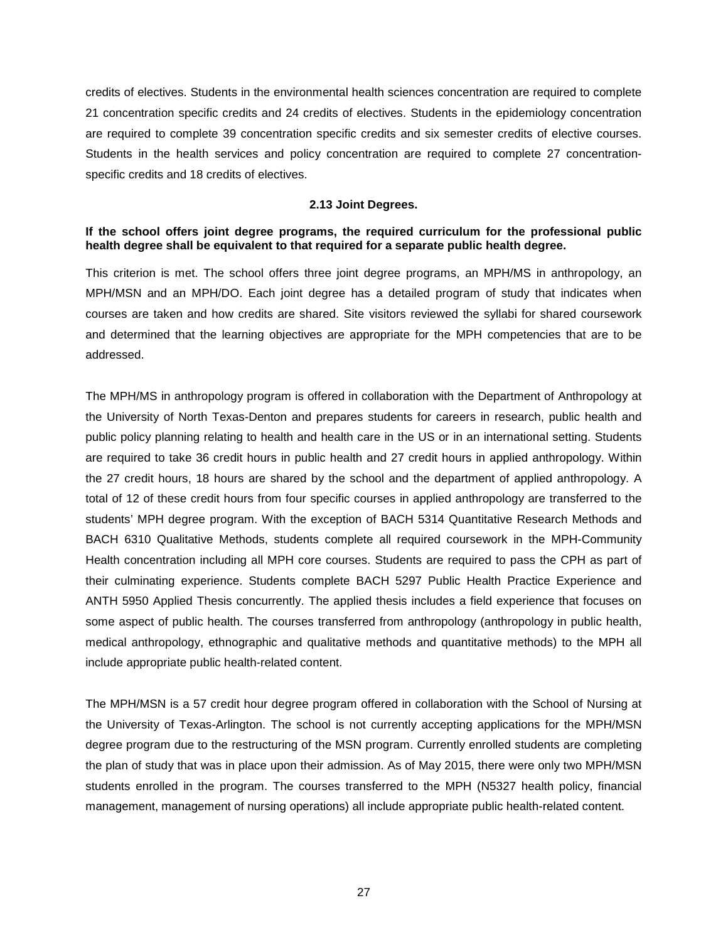credits of electives. Students in the environmental health sciences concentration are required to complete 21 concentration specific credits and 24 credits of electives. Students in the epidemiology concentration are required to complete 39 concentration specific credits and six semester credits of elective courses. Students in the health services and policy concentration are required to complete 27 concentrationspecific credits and 18 credits of electives.

#### **2.13 Joint Degrees.**

### <span id="page-28-0"></span>**If the school offers joint degree programs, the required curriculum for the professional public health degree shall be equivalent to that required for a separate public health degree.**

This criterion is met. The school offers three joint degree programs, an MPH/MS in anthropology, an MPH/MSN and an MPH/DO. Each joint degree has a detailed program of study that indicates when courses are taken and how credits are shared. Site visitors reviewed the syllabi for shared coursework and determined that the learning objectives are appropriate for the MPH competencies that are to be addressed.

The MPH/MS in anthropology program is offered in collaboration with the Department of Anthropology at the University of North Texas-Denton and prepares students for careers in research, public health and public policy planning relating to health and health care in the US or in an international setting. Students are required to take 36 credit hours in public health and 27 credit hours in applied anthropology. Within the 27 credit hours, 18 hours are shared by the school and the department of applied anthropology. A total of 12 of these credit hours from four specific courses in applied anthropology are transferred to the students' MPH degree program. With the exception of BACH 5314 Quantitative Research Methods and BACH 6310 Qualitative Methods, students complete all required coursework in the MPH-Community Health concentration including all MPH core courses. Students are required to pass the CPH as part of their culminating experience. Students complete BACH 5297 Public Health Practice Experience and ANTH 5950 Applied Thesis concurrently. The applied thesis includes a field experience that focuses on some aspect of public health. The courses transferred from anthropology (anthropology in public health, medical anthropology, ethnographic and qualitative methods and quantitative methods) to the MPH all include appropriate public health-related content.

The MPH/MSN is a 57 credit hour degree program offered in collaboration with the School of Nursing at the University of Texas-Arlington. The school is not currently accepting applications for the MPH/MSN degree program due to the restructuring of the MSN program. Currently enrolled students are completing the plan of study that was in place upon their admission. As of May 2015, there were only two MPH/MSN students enrolled in the program. The courses transferred to the MPH (N5327 health policy, financial management, management of nursing operations) all include appropriate public health-related content.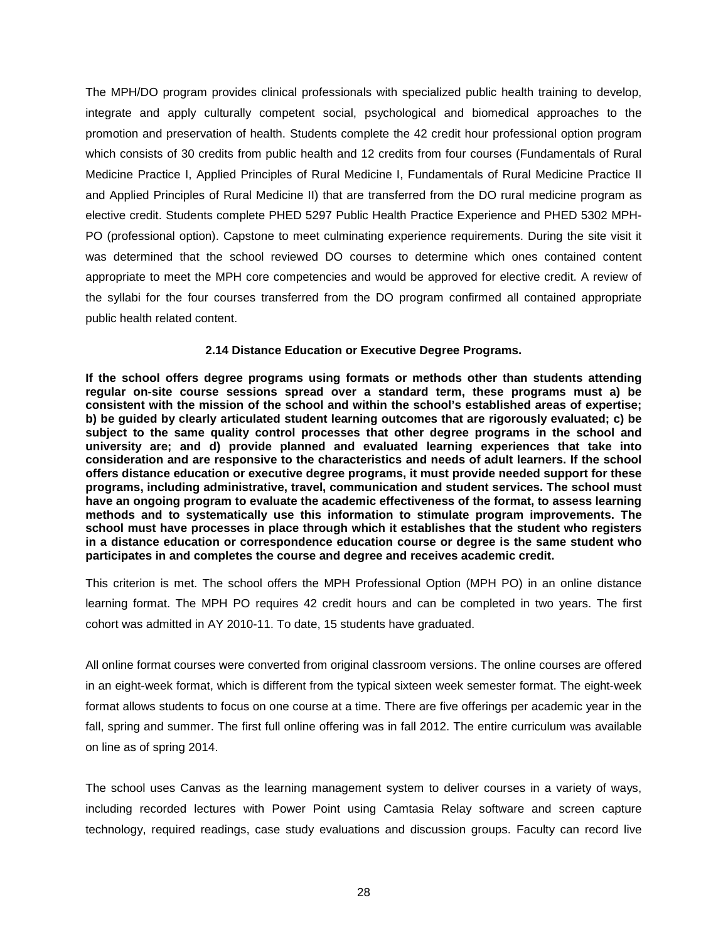The MPH/DO program provides clinical professionals with specialized public health training to develop, integrate and apply culturally competent social, psychological and biomedical approaches to the promotion and preservation of health. Students complete the 42 credit hour professional option program which consists of 30 credits from public health and 12 credits from four courses (Fundamentals of Rural Medicine Practice I, Applied Principles of Rural Medicine I, Fundamentals of Rural Medicine Practice II and Applied Principles of Rural Medicine II) that are transferred from the DO rural medicine program as elective credit. Students complete PHED 5297 Public Health Practice Experience and PHED 5302 MPH-PO (professional option). Capstone to meet culminating experience requirements. During the site visit it was determined that the school reviewed DO courses to determine which ones contained content appropriate to meet the MPH core competencies and would be approved for elective credit. A review of the syllabi for the four courses transferred from the DO program confirmed all contained appropriate public health related content.

### **2.14 Distance Education or Executive Degree Programs.**

<span id="page-29-0"></span>**If the school offers degree programs using formats or methods other than students attending regular on-site course sessions spread over a standard term, these programs must a) be consistent with the mission of the school and within the school's established areas of expertise; b) be guided by clearly articulated student learning outcomes that are rigorously evaluated; c) be subject to the same quality control processes that other degree programs in the school and university are; and d) provide planned and evaluated learning experiences that take into consideration and are responsive to the characteristics and needs of adult learners. If the school offers distance education or executive degree programs, it must provide needed support for these programs, including administrative, travel, communication and student services. The school must have an ongoing program to evaluate the academic effectiveness of the format, to assess learning methods and to systematically use this information to stimulate program improvements. The school must have processes in place through which it establishes that the student who registers in a distance education or correspondence education course or degree is the same student who participates in and completes the course and degree and receives academic credit.**

This criterion is met. The school offers the MPH Professional Option (MPH PO) in an online distance learning format. The MPH PO requires 42 credit hours and can be completed in two years. The first cohort was admitted in AY 2010-11. To date, 15 students have graduated.

All online format courses were converted from original classroom versions. The online courses are offered in an eight-week format, which is different from the typical sixteen week semester format. The eight-week format allows students to focus on one course at a time. There are five offerings per academic year in the fall, spring and summer. The first full online offering was in fall 2012. The entire curriculum was available on line as of spring 2014.

The school uses Canvas as the learning management system to deliver courses in a variety of ways, including recorded lectures with Power Point using Camtasia Relay software and screen capture technology, required readings, case study evaluations and discussion groups. Faculty can record live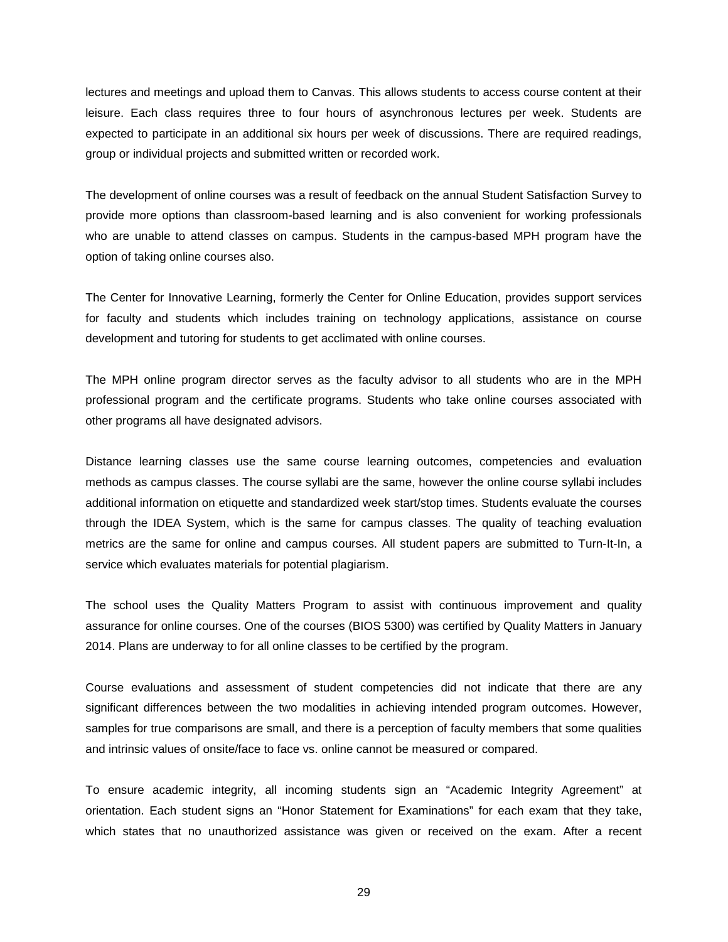lectures and meetings and upload them to Canvas. This allows students to access course content at their leisure. Each class requires three to four hours of asynchronous lectures per week. Students are expected to participate in an additional six hours per week of discussions. There are required readings, group or individual projects and submitted written or recorded work.

The development of online courses was a result of feedback on the annual Student Satisfaction Survey to provide more options than classroom-based learning and is also convenient for working professionals who are unable to attend classes on campus. Students in the campus-based MPH program have the option of taking online courses also.

The Center for Innovative Learning, formerly the Center for Online Education, provides support services for faculty and students which includes training on technology applications, assistance on course development and tutoring for students to get acclimated with online courses.

The MPH online program director serves as the faculty advisor to all students who are in the MPH professional program and the certificate programs. Students who take online courses associated with other programs all have designated advisors.

Distance learning classes use the same course learning outcomes, competencies and evaluation methods as campus classes. The course syllabi are the same, however the online course syllabi includes additional information on etiquette and standardized week start/stop times. Students evaluate the courses through the IDEA System, which is the same for campus classes. The quality of teaching evaluation metrics are the same for online and campus courses. All student papers are submitted to Turn-It-In, a service which evaluates materials for potential plagiarism.

The school uses the Quality Matters Program to assist with continuous improvement and quality assurance for online courses. One of the courses (BIOS 5300) was certified by Quality Matters in January 2014. Plans are underway to for all online classes to be certified by the program.

Course evaluations and assessment of student competencies did not indicate that there are any significant differences between the two modalities in achieving intended program outcomes. However, samples for true comparisons are small, and there is a perception of faculty members that some qualities and intrinsic values of onsite/face to face vs. online cannot be measured or compared.

To ensure academic integrity, all incoming students sign an "Academic Integrity Agreement" at orientation. Each student signs an "Honor Statement for Examinations" for each exam that they take, which states that no unauthorized assistance was given or received on the exam. After a recent

29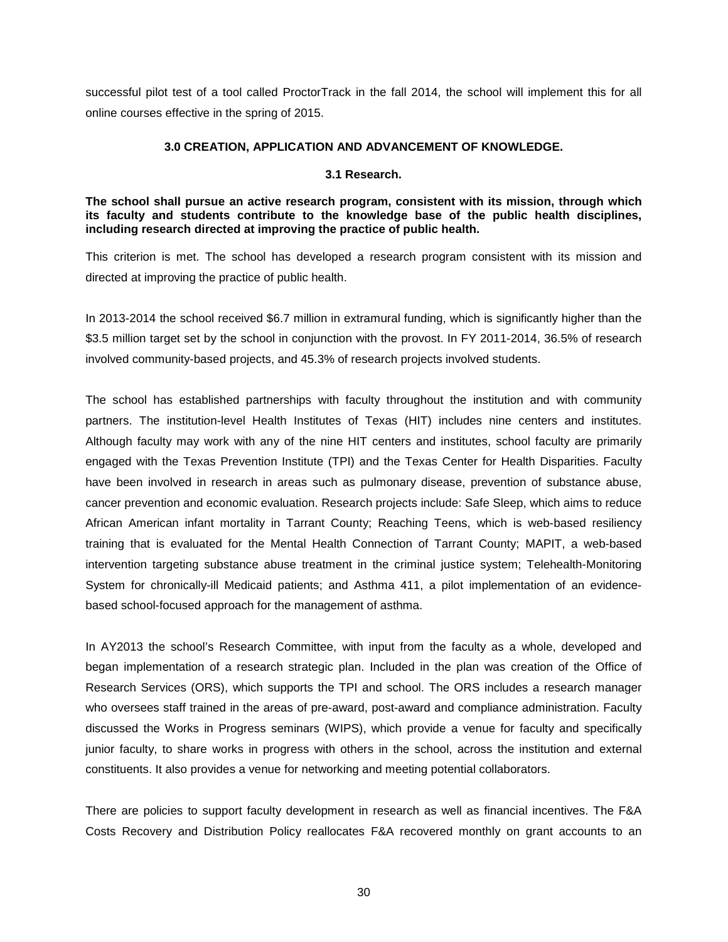<span id="page-31-0"></span>successful pilot test of a tool called ProctorTrack in the fall 2014, the school will implement this for all online courses effective in the spring of 2015.

### **3.0 CREATION, APPLICATION AND ADVANCEMENT OF KNOWLEDGE.**

### **3.1 Research.**

<span id="page-31-1"></span>**The school shall pursue an active research program, consistent with its mission, through which its faculty and students contribute to the knowledge base of the public health disciplines, including research directed at improving the practice of public health.**

This criterion is met. The school has developed a research program consistent with its mission and directed at improving the practice of public health.

In 2013-2014 the school received \$6.7 million in extramural funding, which is significantly higher than the \$3.5 million target set by the school in conjunction with the provost. In FY 2011-2014, 36.5% of research involved community-based projects, and 45.3% of research projects involved students.

The school has established partnerships with faculty throughout the institution and with community partners. The institution-level Health Institutes of Texas (HIT) includes nine centers and institutes. Although faculty may work with any of the nine HIT centers and institutes, school faculty are primarily engaged with the Texas Prevention Institute (TPI) and the Texas Center for Health Disparities. Faculty have been involved in research in areas such as pulmonary disease, prevention of substance abuse, cancer prevention and economic evaluation. Research projects include: Safe Sleep, which aims to reduce African American infant mortality in Tarrant County; Reaching Teens, which is web-based resiliency training that is evaluated for the Mental Health Connection of Tarrant County; MAPIT, a web-based intervention targeting substance abuse treatment in the criminal justice system; Telehealth-Monitoring System for chronically-ill Medicaid patients; and Asthma 411, a pilot implementation of an evidencebased school-focused approach for the management of asthma.

In AY2013 the school's Research Committee, with input from the faculty as a whole, developed and began implementation of a research strategic plan. Included in the plan was creation of the Office of Research Services (ORS), which supports the TPI and school. The ORS includes a research manager who oversees staff trained in the areas of pre-award, post-award and compliance administration. Faculty discussed the Works in Progress seminars (WIPS), which provide a venue for faculty and specifically junior faculty, to share works in progress with others in the school, across the institution and external constituents. It also provides a venue for networking and meeting potential collaborators.

There are policies to support faculty development in research as well as financial incentives. The F&A Costs Recovery and Distribution Policy reallocates F&A recovered monthly on grant accounts to an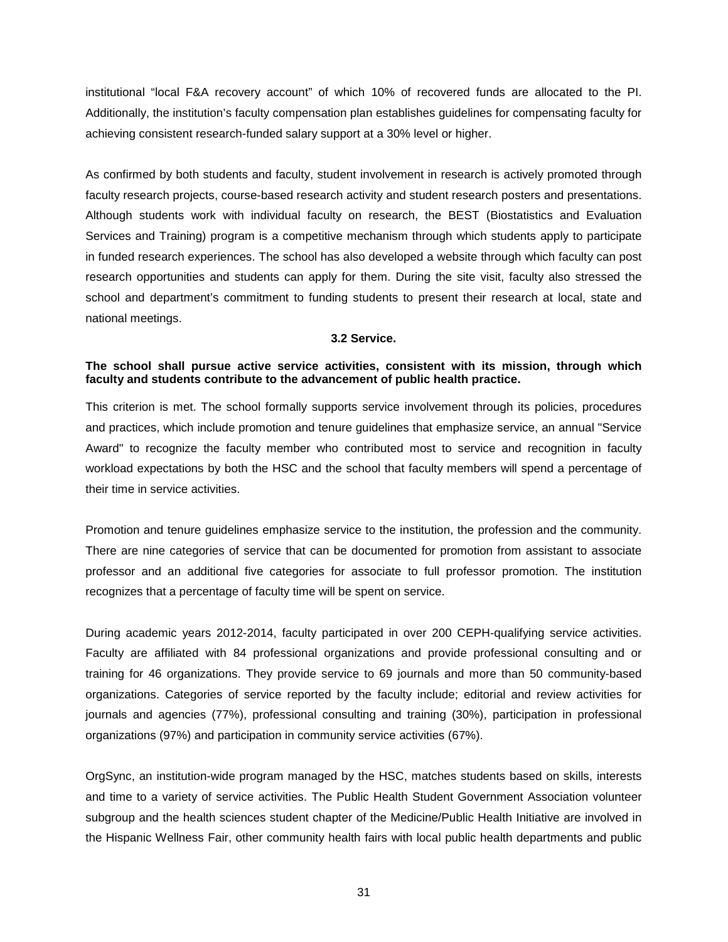institutional "local F&A recovery account" of which 10% of recovered funds are allocated to the PI. Additionally, the institution's faculty compensation plan establishes guidelines for compensating faculty for achieving consistent research-funded salary support at a 30% level or higher.

As confirmed by both students and faculty, student involvement in research is actively promoted through faculty research projects, course-based research activity and student research posters and presentations. Although students work with individual faculty on research, the BEST (Biostatistics and Evaluation Services and Training) program is a competitive mechanism through which students apply to participate in funded research experiences. The school has also developed a website through which faculty can post research opportunities and students can apply for them. During the site visit, faculty also stressed the school and department's commitment to funding students to present their research at local, state and national meetings.

#### **3.2 Service.**

### <span id="page-32-0"></span>**The school shall pursue active service activities, consistent with its mission, through which faculty and students contribute to the advancement of public health practice.**

This criterion is met. The school formally supports service involvement through its policies, procedures and practices, which include promotion and tenure guidelines that emphasize service, an annual "Service Award" to recognize the faculty member who contributed most to service and recognition in faculty workload expectations by both the HSC and the school that faculty members will spend a percentage of their time in service activities.

Promotion and tenure guidelines emphasize service to the institution, the profession and the community. There are nine categories of service that can be documented for promotion from assistant to associate professor and an additional five categories for associate to full professor promotion. The institution recognizes that a percentage of faculty time will be spent on service.

During academic years 2012-2014, faculty participated in over 200 CEPH-qualifying service activities. Faculty are affiliated with 84 professional organizations and provide professional consulting and or training for 46 organizations. They provide service to 69 journals and more than 50 community-based organizations. Categories of service reported by the faculty include; editorial and review activities for journals and agencies (77%), professional consulting and training (30%), participation in professional organizations (97%) and participation in community service activities (67%).

OrgSync, an institution-wide program managed by the HSC, matches students based on skills, interests and time to a variety of service activities. The Public Health Student Government Association volunteer subgroup and the health sciences student chapter of the Medicine/Public Health Initiative are involved in the Hispanic Wellness Fair, other community health fairs with local public health departments and public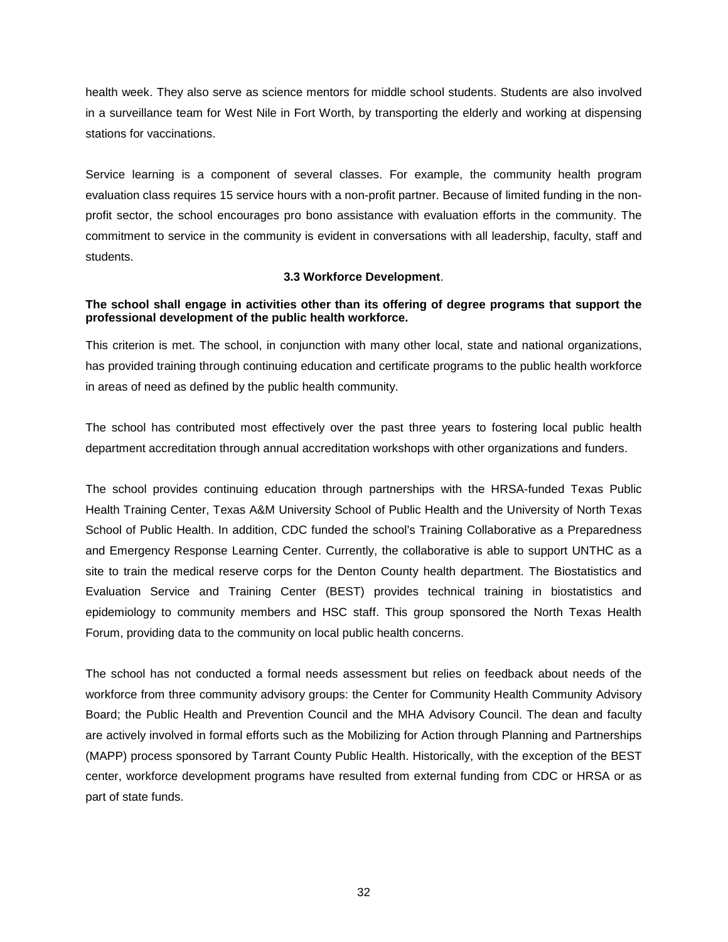health week. They also serve as science mentors for middle school students. Students are also involved in a surveillance team for West Nile in Fort Worth, by transporting the elderly and working at dispensing stations for vaccinations.

Service learning is a component of several classes. For example, the community health program evaluation class requires 15 service hours with a non-profit partner. Because of limited funding in the nonprofit sector, the school encourages pro bono assistance with evaluation efforts in the community. The commitment to service in the community is evident in conversations with all leadership, faculty, staff and students.

### **3.3 Workforce Development**.

## <span id="page-33-0"></span>**The school shall engage in activities other than its offering of degree programs that support the professional development of the public health workforce.**

This criterion is met. The school, in conjunction with many other local, state and national organizations, has provided training through continuing education and certificate programs to the public health workforce in areas of need as defined by the public health community.

The school has contributed most effectively over the past three years to fostering local public health department accreditation through annual accreditation workshops with other organizations and funders.

The school provides continuing education through partnerships with the HRSA-funded Texas Public Health Training Center, Texas A&M University School of Public Health and the University of North Texas School of Public Health. In addition, CDC funded the school's Training Collaborative as a Preparedness and Emergency Response Learning Center. Currently, the collaborative is able to support UNTHC as a site to train the medical reserve corps for the Denton County health department. The Biostatistics and Evaluation Service and Training Center (BEST) provides technical training in biostatistics and epidemiology to community members and HSC staff. This group sponsored the North Texas Health Forum, providing data to the community on local public health concerns.

The school has not conducted a formal needs assessment but relies on feedback about needs of the workforce from three community advisory groups: the Center for Community Health Community Advisory Board; the Public Health and Prevention Council and the MHA Advisory Council. The dean and faculty are actively involved in formal efforts such as the Mobilizing for Action through Planning and Partnerships (MAPP) process sponsored by Tarrant County Public Health. Historically, with the exception of the BEST center, workforce development programs have resulted from external funding from CDC or HRSA or as part of state funds.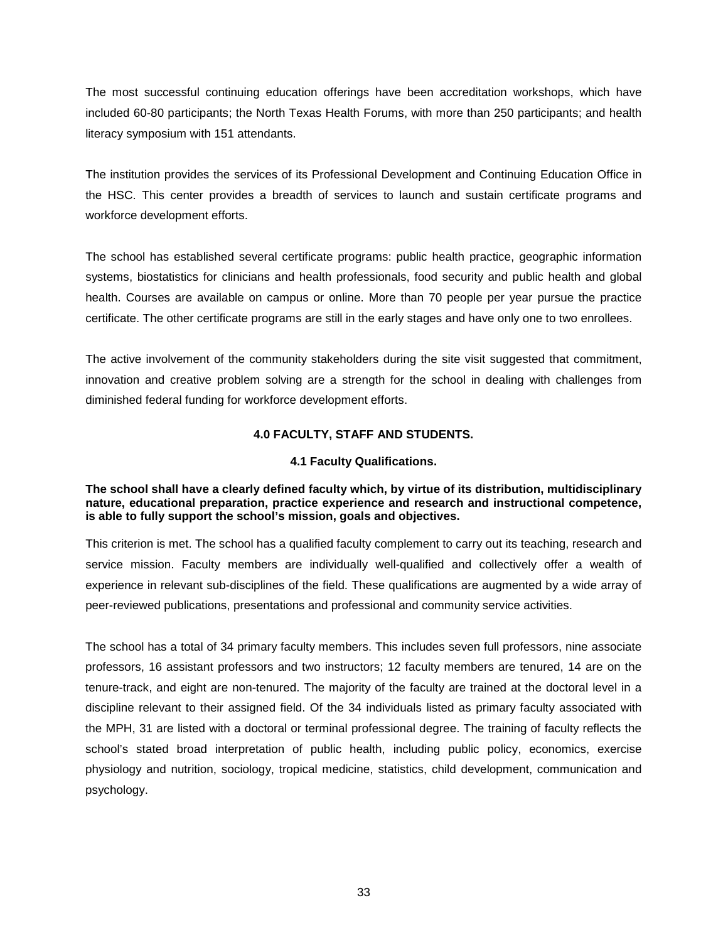The most successful continuing education offerings have been accreditation workshops, which have included 60-80 participants; the North Texas Health Forums, with more than 250 participants; and health literacy symposium with 151 attendants.

The institution provides the services of its Professional Development and Continuing Education Office in the HSC. This center provides a breadth of services to launch and sustain certificate programs and workforce development efforts.

The school has established several certificate programs: public health practice, geographic information systems, biostatistics for clinicians and health professionals, food security and public health and global health. Courses are available on campus or online. More than 70 people per year pursue the practice certificate. The other certificate programs are still in the early stages and have only one to two enrollees.

The active involvement of the community stakeholders during the site visit suggested that commitment, innovation and creative problem solving are a strength for the school in dealing with challenges from diminished federal funding for workforce development efforts.

# **4.0 FACULTY, STAFF AND STUDENTS.**

### **4.1 Faculty Qualifications.**

## <span id="page-34-1"></span><span id="page-34-0"></span>**The school shall have a clearly defined faculty which, by virtue of its distribution, multidisciplinary nature, educational preparation, practice experience and research and instructional competence, is able to fully support the school's mission, goals and objectives.**

This criterion is met. The school has a qualified faculty complement to carry out its teaching, research and service mission. Faculty members are individually well-qualified and collectively offer a wealth of experience in relevant sub-disciplines of the field. These qualifications are augmented by a wide array of peer-reviewed publications, presentations and professional and community service activities.

The school has a total of 34 primary faculty members. This includes seven full professors, nine associate professors, 16 assistant professors and two instructors; 12 faculty members are tenured, 14 are on the tenure-track, and eight are non-tenured. The majority of the faculty are trained at the doctoral level in a discipline relevant to their assigned field. Of the 34 individuals listed as primary faculty associated with the MPH, 31 are listed with a doctoral or terminal professional degree. The training of faculty reflects the school's stated broad interpretation of public health, including public policy, economics, exercise physiology and nutrition, sociology, tropical medicine, statistics, child development, communication and psychology.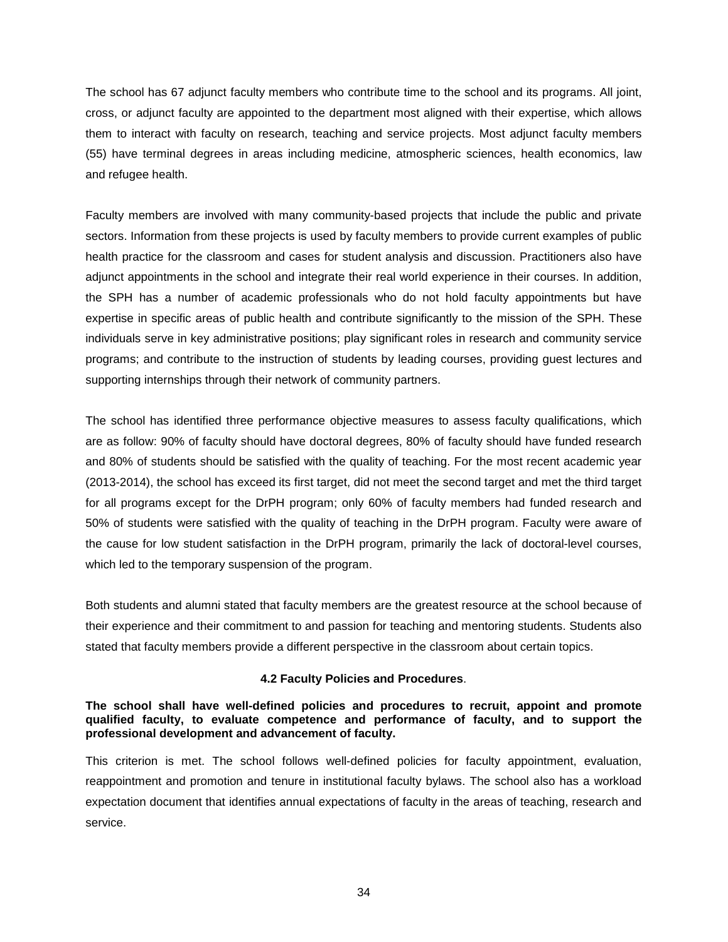The school has 67 adjunct faculty members who contribute time to the school and its programs. All joint, cross, or adjunct faculty are appointed to the department most aligned with their expertise, which allows them to interact with faculty on research, teaching and service projects. Most adjunct faculty members (55) have terminal degrees in areas including medicine, atmospheric sciences, health economics, law and refugee health.

Faculty members are involved with many community-based projects that include the public and private sectors. Information from these projects is used by faculty members to provide current examples of public health practice for the classroom and cases for student analysis and discussion. Practitioners also have adjunct appointments in the school and integrate their real world experience in their courses. In addition, the SPH has a number of academic professionals who do not hold faculty appointments but have expertise in specific areas of public health and contribute significantly to the mission of the SPH. These individuals serve in key administrative positions; play significant roles in research and community service programs; and contribute to the instruction of students by leading courses, providing guest lectures and supporting internships through their network of community partners.

The school has identified three performance objective measures to assess faculty qualifications, which are as follow: 90% of faculty should have doctoral degrees, 80% of faculty should have funded research and 80% of students should be satisfied with the quality of teaching. For the most recent academic year (2013-2014), the school has exceed its first target, did not meet the second target and met the third target for all programs except for the DrPH program; only 60% of faculty members had funded research and 50% of students were satisfied with the quality of teaching in the DrPH program. Faculty were aware of the cause for low student satisfaction in the DrPH program, primarily the lack of doctoral-level courses, which led to the temporary suspension of the program.

Both students and alumni stated that faculty members are the greatest resource at the school because of their experience and their commitment to and passion for teaching and mentoring students. Students also stated that faculty members provide a different perspective in the classroom about certain topics.

### **4.2 Faculty Policies and Procedures**.

### <span id="page-35-0"></span>**The school shall have well-defined policies and procedures to recruit, appoint and promote qualified faculty, to evaluate competence and performance of faculty, and to support the professional development and advancement of faculty.**

This criterion is met. The school follows well-defined policies for faculty appointment, evaluation, reappointment and promotion and tenure in institutional faculty bylaws. The school also has a workload expectation document that identifies annual expectations of faculty in the areas of teaching, research and service.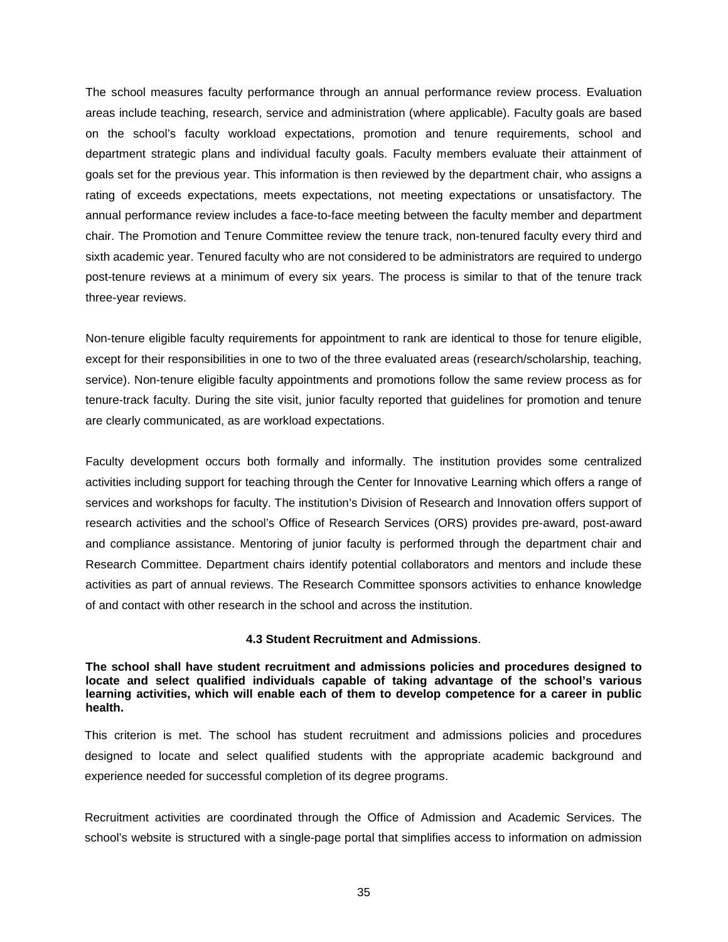The school measures faculty performance through an annual performance review process. Evaluation areas include teaching, research, service and administration (where applicable). Faculty goals are based on the school's faculty workload expectations, promotion and tenure requirements, school and department strategic plans and individual faculty goals. Faculty members evaluate their attainment of goals set for the previous year. This information is then reviewed by the department chair, who assigns a rating of exceeds expectations, meets expectations, not meeting expectations or unsatisfactory. The annual performance review includes a face-to-face meeting between the faculty member and department chair. The Promotion and Tenure Committee review the tenure track, non-tenured faculty every third and sixth academic year. Tenured faculty who are not considered to be administrators are required to undergo post-tenure reviews at a minimum of every six years. The process is similar to that of the tenure track three-year reviews.

Non-tenure eligible faculty requirements for appointment to rank are identical to those for tenure eligible, except for their responsibilities in one to two of the three evaluated areas (research/scholarship, teaching, service). Non-tenure eligible faculty appointments and promotions follow the same review process as for tenure-track faculty. During the site visit, junior faculty reported that guidelines for promotion and tenure are clearly communicated, as are workload expectations.

Faculty development occurs both formally and informally. The institution provides some centralized activities including support for teaching through the Center for Innovative Learning which offers a range of services and workshops for faculty. The institution's Division of Research and Innovation offers support of research activities and the school's Office of Research Services (ORS) provides pre-award, post-award and compliance assistance. Mentoring of junior faculty is performed through the department chair and Research Committee. Department chairs identify potential collaborators and mentors and include these activities as part of annual reviews. The Research Committee sponsors activities to enhance knowledge of and contact with other research in the school and across the institution.

### **4.3 Student Recruitment and Admissions**.

<span id="page-36-0"></span>**The school shall have student recruitment and admissions policies and procedures designed to locate and select qualified individuals capable of taking advantage of the school's various learning activities, which will enable each of them to develop competence for a career in public health.**

This criterion is met. The school has student recruitment and admissions policies and procedures designed to locate and select qualified students with the appropriate academic background and experience needed for successful completion of its degree programs.

Recruitment activities are coordinated through the Office of Admission and Academic Services. The school's website is structured with a single-page portal that simplifies access to information on admission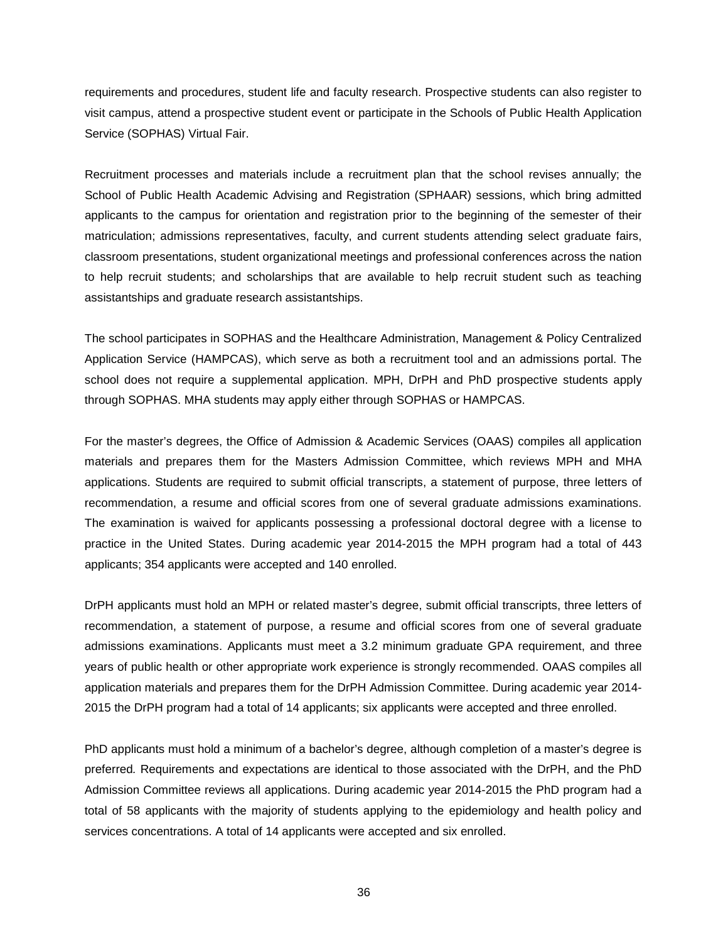requirements and procedures, student life and faculty research. Prospective students can also register to visit campus, attend a prospective student event or participate in the Schools of Public Health Application Service (SOPHAS) Virtual Fair.

Recruitment processes and materials include a recruitment plan that the school revises annually; the School of Public Health Academic Advising and Registration (SPHAAR) sessions, which bring admitted applicants to the campus for orientation and registration prior to the beginning of the semester of their matriculation; admissions representatives, faculty, and current students attending select graduate fairs, classroom presentations, student organizational meetings and professional conferences across the nation to help recruit students; and scholarships that are available to help recruit student such as teaching assistantships and graduate research assistantships.

The school participates in SOPHAS and the Healthcare Administration, Management & Policy Centralized Application Service (HAMPCAS), which serve as both a recruitment tool and an admissions portal. The school does not require a supplemental application. MPH, DrPH and PhD prospective students apply through SOPHAS. MHA students may apply either through SOPHAS or HAMPCAS.

For the master's degrees, the Office of Admission & Academic Services (OAAS) compiles all application materials and prepares them for the Masters Admission Committee, which reviews MPH and MHA applications. Students are required to submit official transcripts, a statement of purpose, three letters of recommendation, a resume and official scores from one of several graduate admissions examinations. The examination is waived for applicants possessing a professional doctoral degree with a license to practice in the United States. During academic year 2014-2015 the MPH program had a total of 443 applicants; 354 applicants were accepted and 140 enrolled.

DrPH applicants must hold an MPH or related master's degree, submit official transcripts, three letters of recommendation, a statement of purpose, a resume and official scores from one of several graduate admissions examinations. Applicants must meet a 3.2 minimum graduate GPA requirement, and three years of public health or other appropriate work experience is strongly recommended. OAAS compiles all application materials and prepares them for the DrPH Admission Committee. During academic year 2014- 2015 the DrPH program had a total of 14 applicants; six applicants were accepted and three enrolled.

PhD applicants must hold a minimum of a bachelor's degree, although completion of a master's degree is preferred*.* Requirements and expectations are identical to those associated with the DrPH, and the PhD Admission Committee reviews all applications. During academic year 2014-2015 the PhD program had a total of 58 applicants with the majority of students applying to the epidemiology and health policy and services concentrations. A total of 14 applicants were accepted and six enrolled.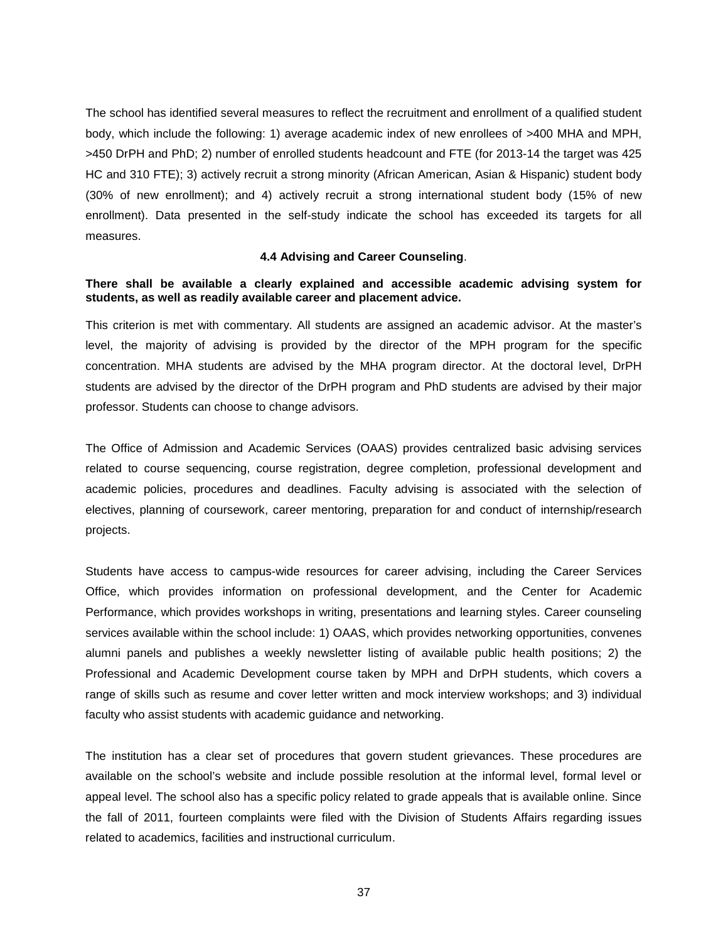The school has identified several measures to reflect the recruitment and enrollment of a qualified student body, which include the following: 1) average academic index of new enrollees of >400 MHA and MPH, >450 DrPH and PhD; 2) number of enrolled students headcount and FTE (for 2013-14 the target was 425 HC and 310 FTE); 3) actively recruit a strong minority (African American, Asian & Hispanic) student body (30% of new enrollment); and 4) actively recruit a strong international student body (15% of new enrollment). Data presented in the self-study indicate the school has exceeded its targets for all measures.

#### **4.4 Advising and Career Counseling**.

### <span id="page-38-0"></span>**There shall be available a clearly explained and accessible academic advising system for students, as well as readily available career and placement advice.**

This criterion is met with commentary. All students are assigned an academic advisor. At the master's level, the majority of advising is provided by the director of the MPH program for the specific concentration. MHA students are advised by the MHA program director. At the doctoral level, DrPH students are advised by the director of the DrPH program and PhD students are advised by their major professor. Students can choose to change advisors.

The Office of Admission and Academic Services (OAAS) provides centralized basic advising services related to course sequencing, course registration, degree completion, professional development and academic policies, procedures and deadlines. Faculty advising is associated with the selection of electives, planning of coursework, career mentoring, preparation for and conduct of internship/research projects.

Students have access to campus-wide resources for career advising, including the Career Services Office, which provides information on professional development, and the Center for Academic Performance, which provides workshops in writing, presentations and learning styles. Career counseling services available within the school include: 1) OAAS, which provides networking opportunities, convenes alumni panels and publishes a weekly newsletter listing of available public health positions; 2) the Professional and Academic Development course taken by MPH and DrPH students, which covers a range of skills such as resume and cover letter written and mock interview workshops; and 3) individual faculty who assist students with academic guidance and networking.

The institution has a clear set of procedures that govern student grievances. These procedures are available on the school's website and include possible resolution at the informal level, formal level or appeal level. The school also has a specific policy related to grade appeals that is available online. Since the fall of 2011, fourteen complaints were filed with the Division of Students Affairs regarding issues related to academics, facilities and instructional curriculum.

37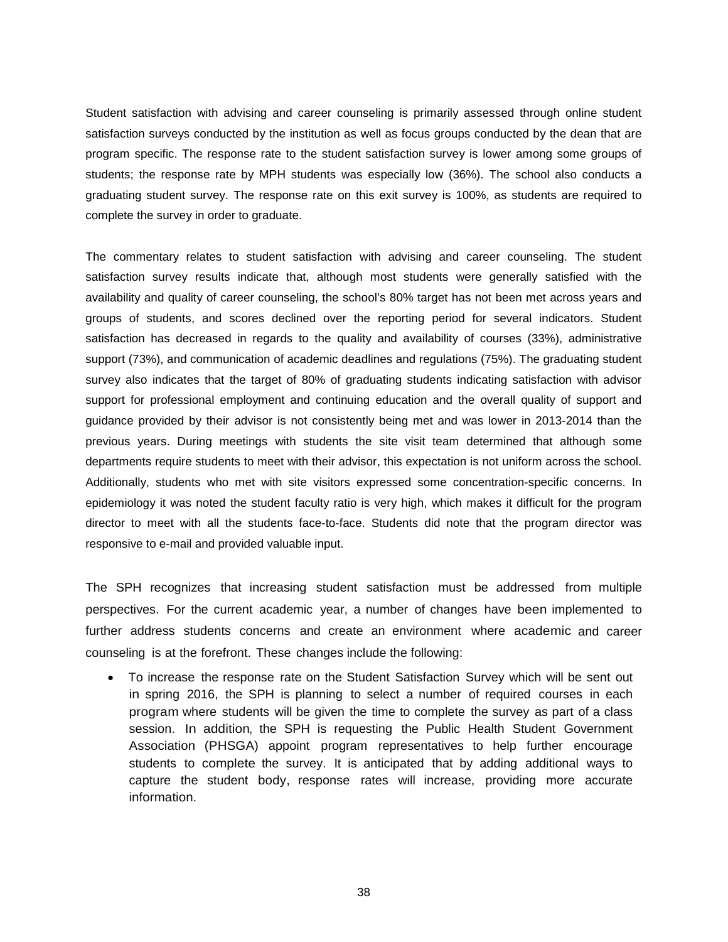Student satisfaction with advising and career counseling is primarily assessed through online student satisfaction surveys conducted by the institution as well as focus groups conducted by the dean that are program specific. The response rate to the student satisfaction survey is lower among some groups of students; the response rate by MPH students was especially low (36%). The school also conducts a graduating student survey. The response rate on this exit survey is 100%, as students are required to complete the survey in order to graduate.

The commentary relates to student satisfaction with advising and career counseling. The student satisfaction survey results indicate that, although most students were generally satisfied with the availability and quality of career counseling, the school's 80% target has not been met across years and groups of students, and scores declined over the reporting period for several indicators. Student satisfaction has decreased in regards to the quality and availability of courses (33%), administrative support (73%), and communication of academic deadlines and regulations (75%). The graduating student survey also indicates that the target of 80% of graduating students indicating satisfaction with advisor support for professional employment and continuing education and the overall quality of support and guidance provided by their advisor is not consistently being met and was lower in 2013-2014 than the previous years. During meetings with students the site visit team determined that although some departments require students to meet with their advisor, this expectation is not uniform across the school. Additionally, students who met with site visitors expressed some concentration-specific concerns. In epidemiology it was noted the student faculty ratio is very high, which makes it difficult for the program director to meet with all the students face-to-face. Students did note that the program director was responsive to e-mail and provided valuable input.

The SPH recognizes that increasing student satisfaction must be addressed from multiple perspectives. For the current academic year, a number of changes have been implemented to further address students concerns and create an environment where academic and career counseling is at the forefront. These changes include the following:

• To increase the response rate on the Student Satisfaction Survey which will be sent out in spring 2016, the SPH is planning to select a number of required courses in each program where students will be given the time to complete the survey as part of a class session. In addition, the SPH is requesting the Public Health Student Government Association (PHSGA) appoint program representatives to help further encourage students to complete the survey. It is anticipated that by adding additional ways to capture the student body, response rates will increase, providing more accurate information.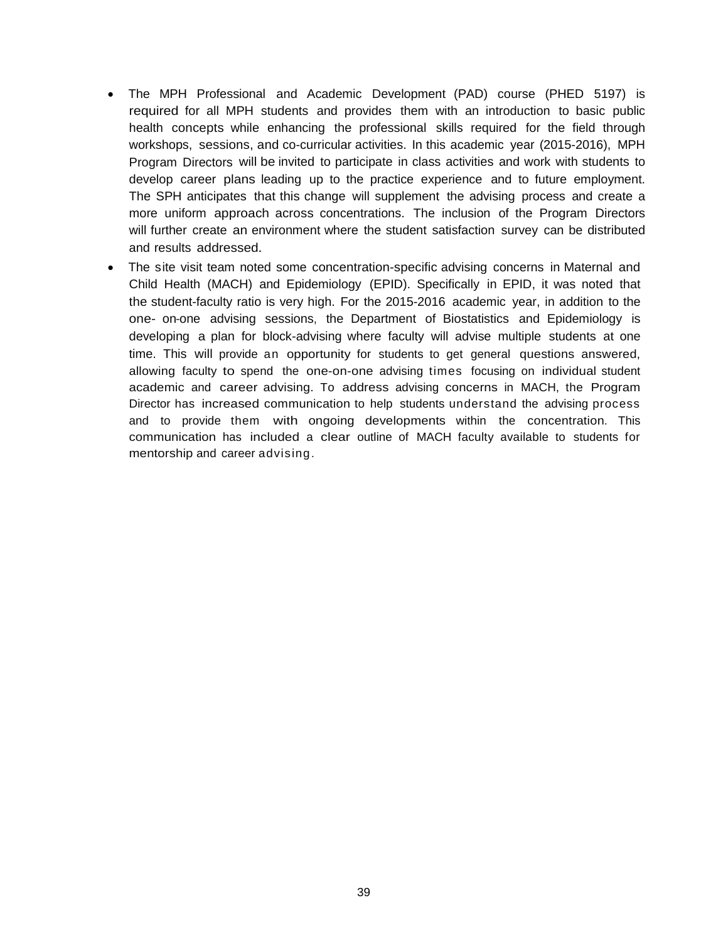- The MPH Professional and Academic Development (PAD) course (PHED 5197) is required for all MPH students and provides them with an introduction to basic public health concepts while enhancing the professional skills required for the field through workshops, sessions, and co-curricular activities. In this academic year (2015-2016), MPH Program Directors will be invited to participate in class activities and work with students to develop career plans leading up to the practice experience and to future employment. The SPH anticipates that this change will supplement the advising process and create a more uniform approach across concentrations. The inclusion of the Program Directors will further create an environment where the student satisfaction survey can be distributed and results addressed.
- The site visit team noted some concentration-specific advising concerns in Maternal and Child Health (MACH) and Epidemiology (EPID). Specifically in EPID, it was noted that the student-faculty ratio is very high. For the 2015-2016 academic year, in addition to the one- on-one advising sessions, the Department of Biostatistics and Epidemiology is developing a plan for block-advising where faculty will advise multiple students at one time. This will provide an opportunity for students to get general questions answered, allowing faculty to spend the one-on-one advising times focusing on individual student academic and career advising. To address advising concerns in MACH, the Program Director has increased communication to help students understand the advising process and to provide them with ongoing developments within the concentration. This communication has included a clear outline of MACH faculty available to students for mentorship and career advising.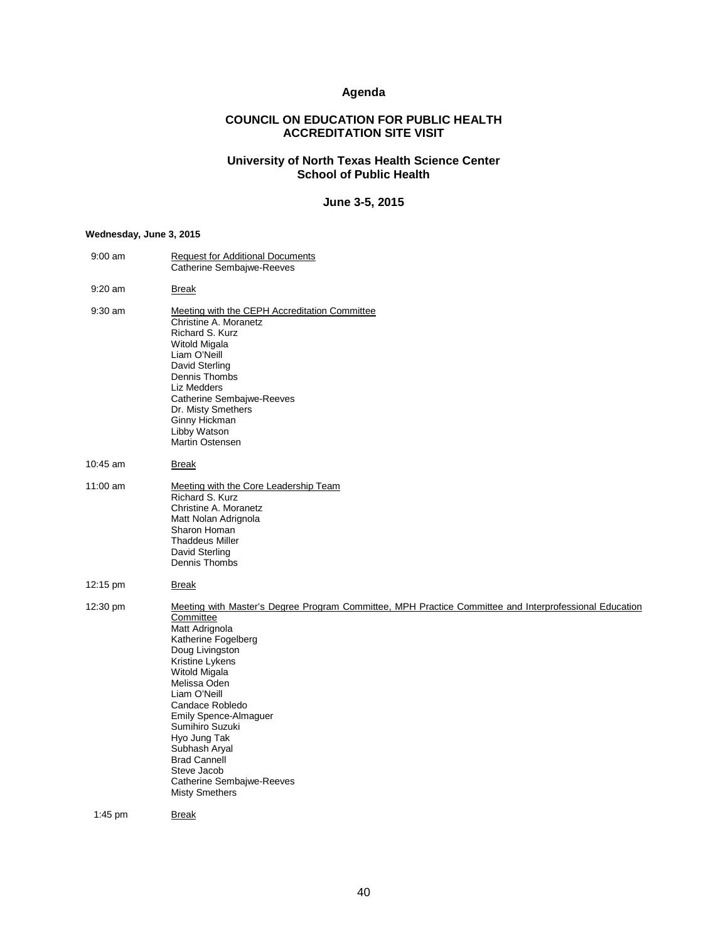# **Agenda**

# **COUNCIL ON EDUCATION FOR PUBLIC HEALTH ACCREDITATION SITE VISIT**

#### **University of North Texas Health Science Center School of Public Health**

### **June 3-5, 2015**

#### <span id="page-41-0"></span>**Wednesday, June 3, 2015**

| $9:00$ am  | <b>Request for Additional Documents</b><br>Catherine Sembajwe-Reeves                                                                                                                                                                                                                                                                                                                                                                                   |
|------------|--------------------------------------------------------------------------------------------------------------------------------------------------------------------------------------------------------------------------------------------------------------------------------------------------------------------------------------------------------------------------------------------------------------------------------------------------------|
| 9:20 am    | <b>Break</b>                                                                                                                                                                                                                                                                                                                                                                                                                                           |
| $9:30$ am  | Meeting with the CEPH Accreditation Committee<br>Christine A. Moranetz<br>Richard S. Kurz<br>Witold Migala<br>Liam O'Neill<br>David Sterling<br>Dennis Thombs<br>Liz Medders<br>Catherine Sembajwe-Reeves<br>Dr. Misty Smethers<br>Ginny Hickman<br>Libby Watson<br><b>Martin Ostensen</b>                                                                                                                                                             |
| 10:45 am   | <b>Break</b>                                                                                                                                                                                                                                                                                                                                                                                                                                           |
| $11:00$ am | Meeting with the Core Leadership Team<br>Richard S. Kurz<br>Christine A. Moranetz<br>Matt Nolan Adrignola<br>Sharon Homan<br><b>Thaddeus Miller</b><br>David Sterling<br>Dennis Thombs                                                                                                                                                                                                                                                                 |
| 12:15 pm   | Break                                                                                                                                                                                                                                                                                                                                                                                                                                                  |
| 12:30 pm   | Meeting with Master's Degree Program Committee, MPH Practice Committee and Interprofessional Education<br>Committee<br>Matt Adrignola<br>Katherine Fogelberg<br>Doug Livingston<br>Kristine Lykens<br>Witold Migala<br>Melissa Oden<br>Liam O'Neill<br>Candace Robledo<br><b>Emily Spence-Almaguer</b><br>Sumihiro Suzuki<br>Hyo Jung Tak<br>Subhash Aryal<br><b>Brad Cannell</b><br>Steve Jacob<br>Catherine Sembajwe-Reeves<br><b>Misty Smethers</b> |
| $1:45$ pm  | Break                                                                                                                                                                                                                                                                                                                                                                                                                                                  |
|            |                                                                                                                                                                                                                                                                                                                                                                                                                                                        |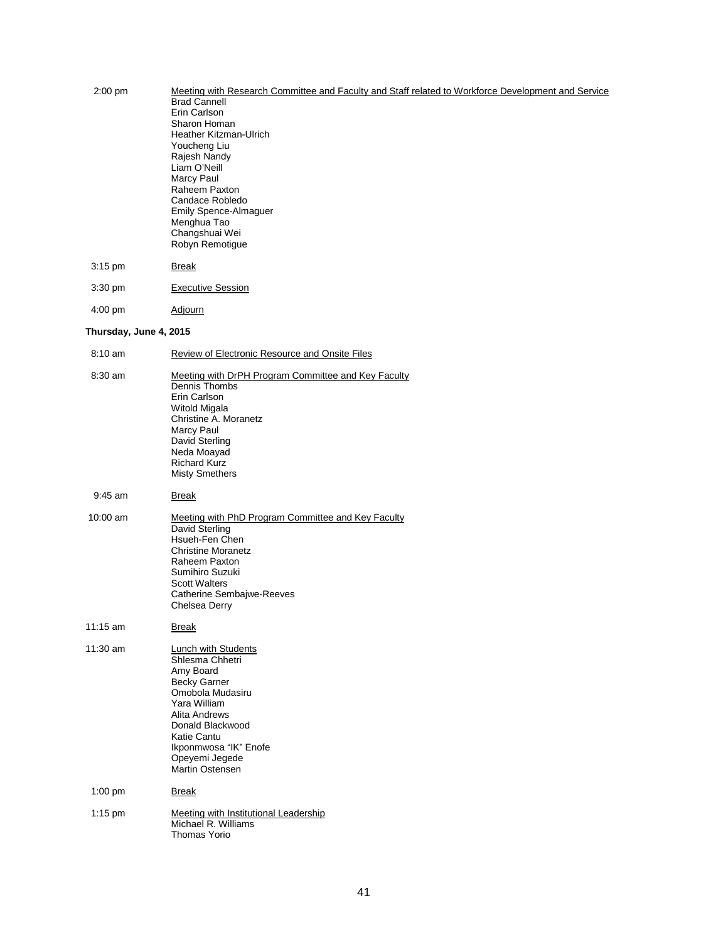| $2:00$ pm              | Meeting with Research Committee and Faculty and Staff related to Workforce Development and Service<br><b>Brad Cannell</b><br>Erin Carlson<br>Sharon Homan<br>Heather Kitzman-Ulrich<br>Youcheng Liu<br>Rajesh Nandy                            |
|------------------------|------------------------------------------------------------------------------------------------------------------------------------------------------------------------------------------------------------------------------------------------|
|                        | Liam O'Neill<br>Marcy Paul<br>Raheem Paxton<br>Candace Robledo<br>Emily Spence-Almaguer<br>Menghua Tao<br>Changshuai Wei<br>Robyn Remotigue                                                                                                    |
| $3:15$ pm              | <b>Break</b>                                                                                                                                                                                                                                   |
| $3:30 \text{ pm}$      | <b>Executive Session</b>                                                                                                                                                                                                                       |
| $4:00 \text{ pm}$      | <b>Adjourn</b>                                                                                                                                                                                                                                 |
| Thursday, June 4, 2015 |                                                                                                                                                                                                                                                |
| $8:10 \text{ am}$      | <b>Review of Electronic Resource and Onsite Files</b>                                                                                                                                                                                          |
| 8:30 am                | Meeting with DrPH Program Committee and Key Faculty<br>Dennis Thombs<br>Erin Carlson<br>Witold Migala<br>Christine A. Moranetz<br>Marcy Paul<br>David Sterling<br>Neda Moayad<br><b>Richard Kurz</b><br><b>Misty Smethers</b>                  |
| $9:45$ am              | <b>Break</b>                                                                                                                                                                                                                                   |
| $10:00$ am             | Meeting with PhD Program Committee and Key Faculty<br>David Sterling<br>Hsueh-Fen Chen<br><b>Christine Moranetz</b><br>Raheem Paxton<br>Sumihiro Suzuki<br><b>Scott Walters</b><br>Catherine Sembajwe-Reeves<br>Chelsea Derry                  |
| 11:15 am               | <b>Break</b>                                                                                                                                                                                                                                   |
| 11:30 am               | <b>Lunch with Students</b><br>Shlesma Chhetri<br>Amy Board<br><b>Becky Garner</b><br>Omobola Mudasiru<br>Yara William<br>Alita Andrews<br>Donald Blackwood<br>Katie Cantu<br>Ikponmwosa "IK" Enofe<br>Opeyemi Jegede<br><b>Martin Ostensen</b> |
| 1:00 pm                | <b>Break</b>                                                                                                                                                                                                                                   |
| $1:15$ pm              | Meeting with Institutional Leadership<br>Michael R. Williams<br>Thomas Yorio                                                                                                                                                                   |